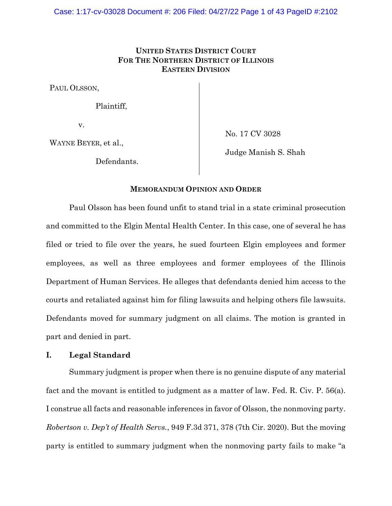# **UNITED STATES DISTRICT COURT FOR THE NORTHERN DISTRICT OF ILLINOIS EASTERN DIVISION**

PAUL OLSSON,

Plaintiff,

v.

WAYNE BEYER, et al.,

Defendants.

No. 17 CV 3028

Judge Manish S. Shah

#### **MEMORANDUM OPINION AND ORDER**

Paul Olsson has been found unfit to stand trial in a state criminal prosecution and committed to the Elgin Mental Health Center. In this case, one of several he has filed or tried to file over the years, he sued fourteen Elgin employees and former employees, as well as three employees and former employees of the Illinois Department of Human Services. He alleges that defendants denied him access to the courts and retaliated against him for filing lawsuits and helping others file lawsuits. Defendants moved for summary judgment on all claims. The motion is granted in part and denied in part.

# **I. Legal Standard**

Summary judgment is proper when there is no genuine dispute of any material fact and the movant is entitled to judgment as a matter of law. Fed. R. Civ. P. 56(a). I construe all facts and reasonable inferences in favor of Olsson, the nonmoving party. *Robertson v. Dep't of Health Servs.*, 949 F.3d 371, 378 (7th Cir. 2020). But the moving party is entitled to summary judgment when the nonmoving party fails to make "a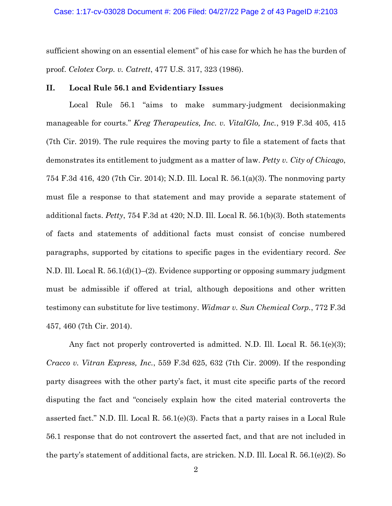sufficient showing on an essential element" of his case for which he has the burden of proof. *Celotex Corp. v. Catrett*, 477 U.S. 317, 323 (1986).

#### **II. Local Rule 56.1 and Evidentiary Issues**

Local Rule 56.1 "aims to make summary-judgment decisionmaking manageable for courts." *Kreg Therapeutics, Inc. v. VitalGlo, Inc.*, 919 F.3d 405, 415 (7th Cir. 2019). The rule requires the moving party to file a statement of facts that demonstrates its entitlement to judgment as a matter of law. *Petty v. City of Chicago*, 754 F.3d 416, 420 (7th Cir. 2014); N.D. Ill. Local R. 56.1(a)(3). The nonmoving party must file a response to that statement and may provide a separate statement of additional facts. *Petty*, 754 F.3d at 420; N.D. Ill. Local R. 56.1(b)(3). Both statements of facts and statements of additional facts must consist of concise numbered paragraphs, supported by citations to specific pages in the evidentiary record. *See* N.D. Ill. Local R. 56.1(d)(1)–(2). Evidence supporting or opposing summary judgment must be admissible if offered at trial, although depositions and other written testimony can substitute for live testimony. *Widmar v. Sun Chemical Corp.*, 772 F.3d 457, 460 (7th Cir. 2014).

Any fact not properly controverted is admitted. N.D. Ill. Local R. 56.1(e)(3); *Cracco v. Vitran Express, Inc.*, 559 F.3d 625, 632 (7th Cir. 2009). If the responding party disagrees with the other party's fact, it must cite specific parts of the record disputing the fact and "concisely explain how the cited material controverts the asserted fact." N.D. Ill. Local R. 56.1(e)(3). Facts that a party raises in a Local Rule 56.1 response that do not controvert the asserted fact, and that are not included in the party's statement of additional facts, are stricken. N.D. Ill. Local R. 56.1(e)(2). So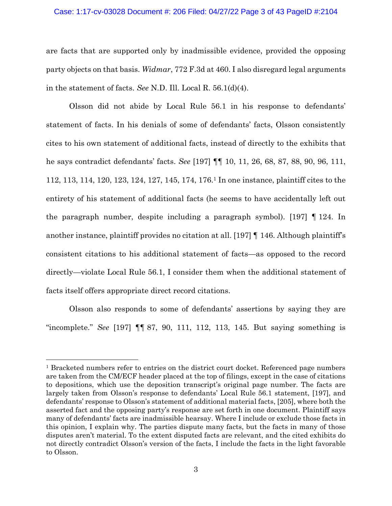#### Case: 1:17-cv-03028 Document #: 206 Filed: 04/27/22 Page 3 of 43 PageID #:2104

are facts that are supported only by inadmissible evidence, provided the opposing party objects on that basis. *Widmar*, 772 F.3d at 460. I also disregard legal arguments in the statement of facts. *See* N.D. Ill. Local R. 56.1(d)(4).

Olsson did not abide by Local Rule 56.1 in his response to defendants' statement of facts. In his denials of some of defendants' facts, Olsson consistently cites to his own statement of additional facts, instead of directly to the exhibits that he says contradict defendants' facts. *See* [197] ¶¶ 10, 11, 26, 68, 87, 88, 90, 96, 111, 112, 113, 114, 120, 123, 124, 127, 145, 174, 176.<sup>1</sup> In one instance, plaintiff cites to the entirety of his statement of additional facts (he seems to have accidentally left out the paragraph number, despite including a paragraph symbol). [197] ¶ 124. In another instance, plaintiff provides no citation at all. [197] ¶ 146. Although plaintiff's consistent citations to his additional statement of facts—as opposed to the record directly—violate Local Rule 56.1, I consider them when the additional statement of facts itself offers appropriate direct record citations.

Olsson also responds to some of defendants' assertions by saying they are "incomplete." *See* [197] ¶¶ 87, 90, 111, 112, 113, 145. But saying something is

<sup>1</sup> Bracketed numbers refer to entries on the district court docket. Referenced page numbers are taken from the CM/ECF header placed at the top of filings, except in the case of citations to depositions, which use the deposition transcript's original page number. The facts are largely taken from Olsson's response to defendants' Local Rule 56.1 statement, [197], and defendants' response to Olsson's statement of additional material facts, [205], where both the asserted fact and the opposing party's response are set forth in one document. Plaintiff says many of defendants' facts are inadmissible hearsay. Where I include or exclude those facts in this opinion, I explain why. The parties dispute many facts, but the facts in many of those disputes aren't material. To the extent disputed facts are relevant, and the cited exhibits do not directly contradict Olsson's version of the facts, I include the facts in the light favorable to Olsson.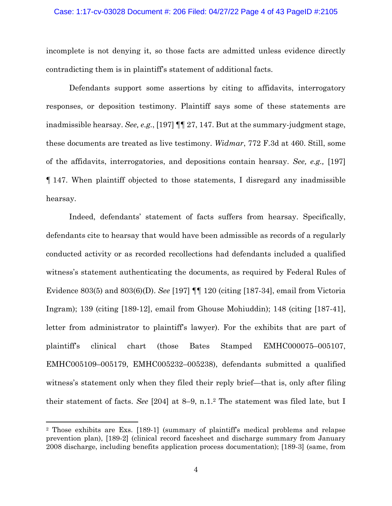#### Case: 1:17-cv-03028 Document #: 206 Filed: 04/27/22 Page 4 of 43 PageID #:2105

incomplete is not denying it, so those facts are admitted unless evidence directly contradicting them is in plaintiff's statement of additional facts.

Defendants support some assertions by citing to affidavits, interrogatory responses, or deposition testimony. Plaintiff says some of these statements are inadmissible hearsay. *See, e.g.*, [197] ¶¶ 27, 147. But at the summary-judgment stage, these documents are treated as live testimony. *Widmar*, 772 F.3d at 460. Still, some of the affidavits, interrogatories, and depositions contain hearsay. *See, e.g.,* [197] ¶ 147. When plaintiff objected to those statements, I disregard any inadmissible hearsay.

Indeed, defendants' statement of facts suffers from hearsay. Specifically, defendants cite to hearsay that would have been admissible as records of a regularly conducted activity or as recorded recollections had defendants included a qualified witness's statement authenticating the documents, as required by Federal Rules of Evidence 803(5) and 803(6)(D). *See* [197] ¶¶ 120 (citing [187-34], email from Victoria Ingram); 139 (citing [189-12], email from Ghouse Mohiuddin); 148 (citing [187-41], letter from administrator to plaintiff's lawyer). For the exhibits that are part of plaintiff's clinical chart (those Bates Stamped EMHC000075–005107, EMHC005109–005179, EMHC005232–005238), defendants submitted a qualified witness's statement only when they filed their reply brief—that is, only after filing their statement of facts. *See* [204] at 8–9, n.1. <sup>2</sup> The statement was filed late, but I

<sup>2</sup> Those exhibits are Exs. [189-1] (summary of plaintiff's medical problems and relapse prevention plan), [189-2] (clinical record facesheet and discharge summary from January 2008 discharge, including benefits application process documentation); [189-3] (same, from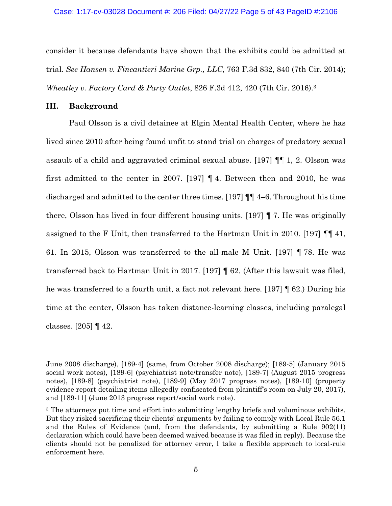consider it because defendants have shown that the exhibits could be admitted at trial. *See Hansen v. Fincantieri Marine Grp., LLC*, 763 F.3d 832, 840 (7th Cir. 2014); *Wheatley v. Factory Card & Party Outlet*, 826 F.3d 412, 420 (7th Cir. 2016).<sup>3</sup>

#### **III. Background**

Paul Olsson is a civil detainee at Elgin Mental Health Center, where he has lived since 2010 after being found unfit to stand trial on charges of predatory sexual assault of a child and aggravated criminal sexual abuse. [197] ¶¶ 1, 2. Olsson was first admitted to the center in 2007. [197] ¶ 4. Between then and 2010, he was discharged and admitted to the center three times. [197] ¶¶ 4–6. Throughout his time there, Olsson has lived in four different housing units. [197] ¶ 7. He was originally assigned to the F Unit, then transferred to the Hartman Unit in 2010. [197] ¶¶ 41, 61. In 2015, Olsson was transferred to the all-male M Unit. [197] ¶ 78. He was transferred back to Hartman Unit in 2017. [197] ¶ 62. (After this lawsuit was filed, he was transferred to a fourth unit, a fact not relevant here. [197] ¶ 62.) During his time at the center, Olsson has taken distance-learning classes, including paralegal classes. [205] ¶ 42.

June 2008 discharge), [189-4] (same, from October 2008 discharge); [189-5] (January 2015 social work notes), [189-6] (psychiatrist note/transfer note), [189-7] (August 2015 progress notes), [189-8] (psychiatrist note), [189-9] (May 2017 progress notes), [189-10] (property evidence report detailing items allegedly confiscated from plaintiff's room on July 20, 2017), and [189-11] (June 2013 progress report/social work note).

<sup>&</sup>lt;sup>3</sup> The attorneys put time and effort into submitting lengthy briefs and voluminous exhibits. But they risked sacrificing their clients' arguments by failing to comply with Local Rule 56.1 and the Rules of Evidence (and, from the defendants, by submitting a Rule  $902(11)$ declaration which could have been deemed waived because it was filed in reply). Because the clients should not be penalized for attorney error, I take a flexible approach to local-rule enforcement here.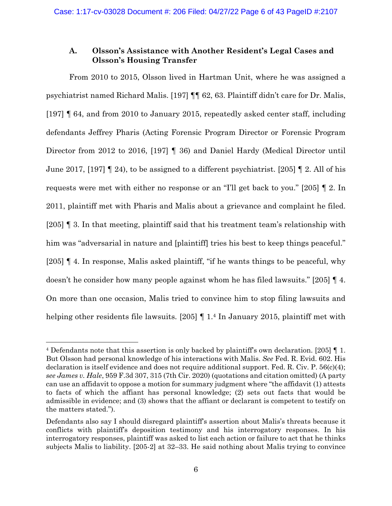# **A. Olsson's Assistance with Another Resident's Legal Cases and Olsson's Housing Transfer**

From 2010 to 2015, Olsson lived in Hartman Unit, where he was assigned a psychiatrist named Richard Malis. [197] ¶¶ 62, 63. Plaintiff didn't care for Dr. Malis, [197] ¶ 64, and from 2010 to January 2015, repeatedly asked center staff, including defendants Jeffrey Pharis (Acting Forensic Program Director or Forensic Program Director from 2012 to 2016, [197] ¶ 36) and Daniel Hardy (Medical Director until June 2017, [197]  $\llbracket$  24), to be assigned to a different psychiatrist. [205]  $\llbracket$  2. All of his requests were met with either no response or an "I'll get back to you." [205] ¶ 2. In 2011, plaintiff met with Pharis and Malis about a grievance and complaint he filed. [205] ¶ 3. In that meeting, plaintiff said that his treatment team's relationship with him was "adversarial in nature and [plaintiff] tries his best to keep things peaceful." [205] ¶ 4. In response, Malis asked plaintiff, "if he wants things to be peaceful, why doesn't he consider how many people against whom he has filed lawsuits." [205] ¶ 4. On more than one occasion, Malis tried to convince him to stop filing lawsuits and helping other residents file lawsuits. [205] [1.4 In January 2015, plaintiff met with

<sup>4</sup> Defendants note that this assertion is only backed by plaintiff's own declaration. [205] ¶ 1. But Olsson had personal knowledge of his interactions with Malis. *See* Fed. R. Evid. 602. His declaration is itself evidence and does not require additional support. Fed. R. Civ. P. 56(c)(4); *see James v. Hale*, 959 F.3d 307, 315 (7th Cir. 2020) (quotations and citation omitted) (A party can use an affidavit to oppose a motion for summary judgment where "the affidavit (1) attests to facts of which the affiant has personal knowledge; (2) sets out facts that would be admissible in evidence; and (3) shows that the affiant or declarant is competent to testify on the matters stated.").

Defendants also say I should disregard plaintiff's assertion about Malis's threats because it conflicts with plaintiff's deposition testimony and his interrogatory responses. In his interrogatory responses, plaintiff was asked to list each action or failure to act that he thinks subjects Malis to liability. [205-2] at 32–33. He said nothing about Malis trying to convince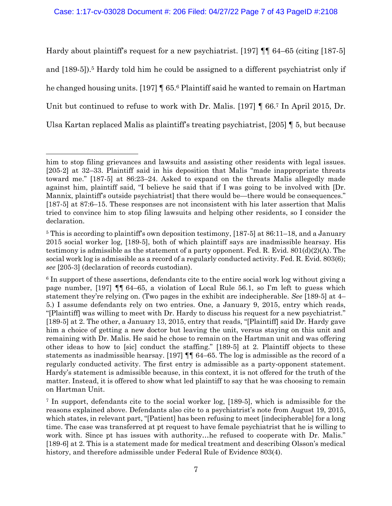Hardy about plaintiff's request for a new psychiatrist. [197] ¶¶ 64–65 (citing [187-5] and [189-5]).<sup>5</sup> Hardy told him he could be assigned to a different psychiatrist only if he changed housing units. [197] ¶ 65.<sup>6</sup> Plaintiff said he wanted to remain on Hartman Unit but continued to refuse to work with Dr. Malis. [197] ¶ 66.<sup>7</sup> In April 2015, Dr. Ulsa Kartan replaced Malis as plaintiff's treating psychiatrist, [205] ¶ 5, but because

him to stop filing grievances and lawsuits and assisting other residents with legal issues. [205-2] at 32–33. Plaintiff said in his deposition that Malis "made inappropriate threats toward me." [187-5] at 86:23–24. Asked to expand on the threats Malis allegedly made against him, plaintiff said, "I believe he said that if I was going to be involved with [Dr. Mannix, plaintiff's outside psychiatrist] that there would be—there would be consequences." [187-5] at 87:6–15. These responses are not inconsistent with his later assertion that Malis tried to convince him to stop filing lawsuits and helping other residents, so I consider the declaration.

<sup>5</sup> This is according to plaintiff's own deposition testimony, [187-5] at 86:11–18, and a January 2015 social worker log, [189-5], both of which plaintiff says are inadmissible hearsay. His testimony is admissible as the statement of a party opponent. Fed. R. Evid.  $801(d)(2)(A)$ . The social work log is admissible as a record of a regularly conducted activity. Fed. R. Evid. 803(6); *see* [205-3] (declaration of records custodian).

<sup>6</sup> In support of these assertions, defendants cite to the entire social work log without giving a page number, [197] ¶¶ 64–65, a violation of Local Rule 56.1, so I'm left to guess which statement they're relying on. (Two pages in the exhibit are indecipherable. *See* [189-5] at 4– 5.) I assume defendants rely on two entries. One, a January 9, 2015, entry which reads, "[Plaintiff] was willing to meet with Dr. Hardy to discuss his request for a new psychiatrist." [189-5] at 2. The other, a January 13, 2015, entry that reads, "[Plaintiff] said Dr. Hardy gave him a choice of getting a new doctor but leaving the unit, versus staying on this unit and remaining with Dr. Malis. He said he chose to remain on the Hartman unit and was offering other ideas to how to [sic] conduct the staffing." [189-5] at 2. Plaintiff objects to these statements as inadmissible hearsay. [197] ¶¶ 64–65. The log is admissible as the record of a regularly conducted activity. The first entry is admissible as a party-opponent statement. Hardy's statement is admissible because, in this context, it is not offered for the truth of the matter. Instead, it is offered to show what led plaintiff to say that he was choosing to remain on Hartman Unit.

<sup>7</sup> In support, defendants cite to the social worker log, [189-5], which is admissible for the reasons explained above. Defendants also cite to a psychiatrist's note from August 19, 2015, which states, in relevant part, "[Patient] has been refusing to meet [indecipherable] for a long time. The case was transferred at pt request to have female psychiatrist that he is willing to work with. Since pt has issues with authority…he refused to cooperate with Dr. Malis." [189-6] at 2. This is a statement made for medical treatment and describing Olsson's medical history, and therefore admissible under Federal Rule of Evidence 803(4).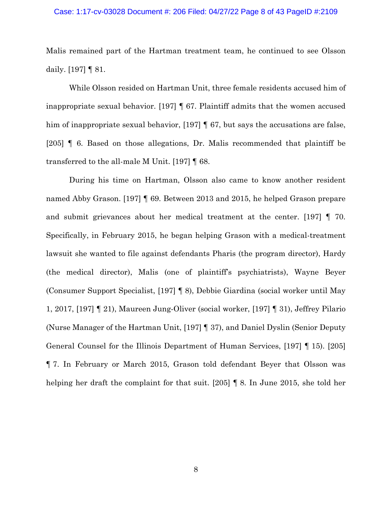#### Case: 1:17-cv-03028 Document #: 206 Filed: 04/27/22 Page 8 of 43 PageID #:2109

Malis remained part of the Hartman treatment team, he continued to see Olsson daily. [197] ¶ 81.

While Olsson resided on Hartman Unit, three female residents accused him of inappropriate sexual behavior. [197] ¶ 67. Plaintiff admits that the women accused him of inappropriate sexual behavior, [197] **[67, but says the accusations are false**, [205] ¶ 6. Based on those allegations, Dr. Malis recommended that plaintiff be transferred to the all-male M Unit. [197] ¶ 68.

During his time on Hartman, Olsson also came to know another resident named Abby Grason. [197] ¶ 69. Between 2013 and 2015, he helped Grason prepare and submit grievances about her medical treatment at the center. [197] ¶ 70. Specifically, in February 2015, he began helping Grason with a medical-treatment lawsuit she wanted to file against defendants Pharis (the program director), Hardy (the medical director), Malis (one of plaintiff's psychiatrists), Wayne Beyer (Consumer Support Specialist, [197] ¶ 8), Debbie Giardina (social worker until May 1, 2017, [197] ¶ 21), Maureen Jung-Oliver (social worker, [197] ¶ 31), Jeffrey Pilario (Nurse Manager of the Hartman Unit, [197] ¶ 37), and Daniel Dyslin (Senior Deputy General Counsel for the Illinois Department of Human Services, [197] ¶ 15). [205] ¶ 7. In February or March 2015, Grason told defendant Beyer that Olsson was helping her draft the complaint for that suit. [205] ¶ 8. In June 2015, she told her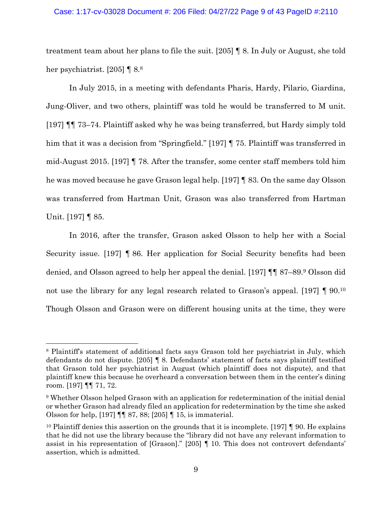#### Case: 1:17-cv-03028 Document #: 206 Filed: 04/27/22 Page 9 of 43 PageID #:2110

treatment team about her plans to file the suit. [205] ¶ 8. In July or August, she told her psychiatrist. [205] ¶ 8.<sup>8</sup>

In July 2015, in a meeting with defendants Pharis, Hardy, Pilario, Giardina, Jung-Oliver, and two others, plaintiff was told he would be transferred to M unit. [197] ¶¶ 73–74. Plaintiff asked why he was being transferred, but Hardy simply told him that it was a decision from "Springfield." [197] **[** 75. Plaintiff was transferred in mid-August 2015. [197] ¶ 78. After the transfer, some center staff members told him he was moved because he gave Grason legal help. [197] ¶ 83. On the same day Olsson was transferred from Hartman Unit, Grason was also transferred from Hartman Unit. [197] ¶ 85.

In 2016, after the transfer, Grason asked Olsson to help her with a Social Security issue. [197] ¶ 86. Her application for Social Security benefits had been denied, and Olsson agreed to help her appeal the denial. [197] ¶¶ 87–89.<sup>9</sup> Olsson did not use the library for any legal research related to Grason's appeal. [197] ¶ 90.<sup>10</sup> Though Olsson and Grason were on different housing units at the time, they were

<sup>&</sup>lt;sup>8</sup> Plaintiff's statement of additional facts says Grason told her psychiatrist in July, which defendants do not dispute. [205] ¶ 8. Defendants' statement of facts says plaintiff testified that Grason told her psychiatrist in August (which plaintiff does not dispute), and that plaintiff knew this because he overheard a conversation between them in the center's dining room. [197] ¶¶ 71, 72.

<sup>9</sup> Whether Olsson helped Grason with an application for redetermination of the initial denial or whether Grason had already filed an application for redetermination by the time she asked Olsson for help, [197] ¶¶ 87, 88; [205] ¶ 15, is immaterial.

<sup>&</sup>lt;sup>10</sup> Plaintiff denies this assertion on the grounds that it is incomplete. [197]  $\parallel$  90. He explains that he did not use the library because the "library did not have any relevant information to assist in his representation of [Grason]." [205] ¶ 10. This does not controvert defendants' assertion, which is admitted.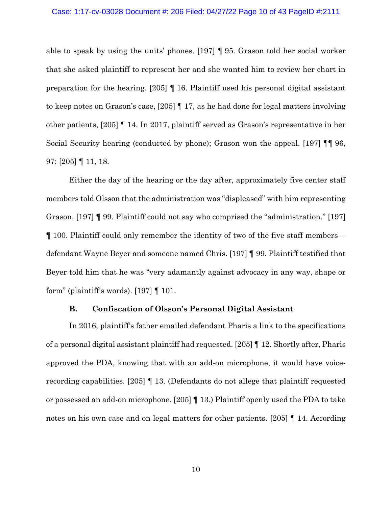#### Case: 1:17-cv-03028 Document #: 206 Filed: 04/27/22 Page 10 of 43 PageID #:2111

able to speak by using the units' phones. [197] ¶ 95. Grason told her social worker that she asked plaintiff to represent her and she wanted him to review her chart in preparation for the hearing. [205] ¶ 16. Plaintiff used his personal digital assistant to keep notes on Grason's case, [205] ¶ 17, as he had done for legal matters involving other patients, [205] ¶ 14. In 2017, plaintiff served as Grason's representative in her Social Security hearing (conducted by phone); Grason won the appeal. [197] ¶¶ 96, 97; [205] ¶ 11, 18.

Either the day of the hearing or the day after, approximately five center staff members told Olsson that the administration was "displeased" with him representing Grason. [197] ¶ 99. Plaintiff could not say who comprised the "administration." [197] ¶ 100. Plaintiff could only remember the identity of two of the five staff members defendant Wayne Beyer and someone named Chris. [197] ¶ 99. Plaintiff testified that Beyer told him that he was "very adamantly against advocacy in any way, shape or form" (plaintiff's words). [197] ¶ 101.

#### **B. Confiscation of Olsson's Personal Digital Assistant**

In 2016, plaintiff's father emailed defendant Pharis a link to the specifications of a personal digital assistant plaintiff had requested. [205] ¶ 12. Shortly after, Pharis approved the PDA, knowing that with an add-on microphone, it would have voicerecording capabilities. [205] ¶ 13. (Defendants do not allege that plaintiff requested or possessed an add-on microphone. [205] ¶ 13.) Plaintiff openly used the PDA to take notes on his own case and on legal matters for other patients. [205] I 14. According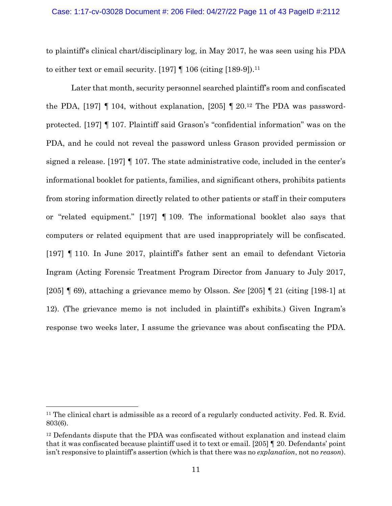#### Case: 1:17-cv-03028 Document #: 206 Filed: 04/27/22 Page 11 of 43 PageID #:2112

to plaintiff's clinical chart/disciplinary log, in May 2017, he was seen using his PDA to either text or email security. [197]  $\parallel$  106 (citing [189-9]).<sup>11</sup>

Later that month, security personnel searched plaintiff's room and confiscated the PDA,  $[197]$  | 104, without explanation,  $[205]$  | 20.<sup>12</sup> The PDA was passwordprotected. [197] ¶ 107. Plaintiff said Grason's "confidential information" was on the PDA, and he could not reveal the password unless Grason provided permission or signed a release. [197] ¶ 107. The state administrative code, included in the center's informational booklet for patients, families, and significant others, prohibits patients from storing information directly related to other patients or staff in their computers or "related equipment." [197] ¶ 109. The informational booklet also says that computers or related equipment that are used inappropriately will be confiscated. [197] ¶ 110. In June 2017, plaintiff's father sent an email to defendant Victoria Ingram (Acting Forensic Treatment Program Director from January to July 2017, [205] ¶ 69), attaching a grievance memo by Olsson. *See* [205] ¶ 21 (citing [198-1] at 12). (The grievance memo is not included in plaintiff's exhibits.) Given Ingram's response two weeks later, I assume the grievance was about confiscating the PDA.

 $11$  The clinical chart is admissible as a record of a regularly conducted activity. Fed. R. Evid. 803(6).

<sup>&</sup>lt;sup>12</sup> Defendants dispute that the PDA was confiscated without explanation and instead claim that it was confiscated because plaintiff used it to text or email. [205] ¶ 20. Defendants' point isn't responsive to plaintiff's assertion (which is that there was no *explanation*, not no *reason*).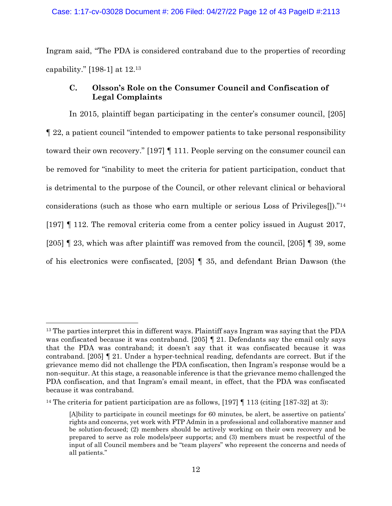Ingram said, "The PDA is considered contraband due to the properties of recording capability." [198-1] at 12.<sup>13</sup>

# <span id="page-11-0"></span>**C. Olsson's Role on the Consumer Council and Confiscation of Legal Complaints**

In 2015, plaintiff began participating in the center's consumer council, [205] ¶ 22, a patient council "intended to empower patients to take personal responsibility toward their own recovery." [197] ¶ 111. People serving on the consumer council can be removed for "inability to meet the criteria for patient participation, conduct that is detrimental to the purpose of the Council, or other relevant clinical or behavioral considerations (such as those who earn multiple or serious Loss of Privileges[])."<sup>14</sup> [197] ¶ 112. The removal criteria come from a center policy issued in August 2017, [205] ¶ 23, which was after plaintiff was removed from the council, [205] ¶ 39, some of his electronics were confiscated, [205] ¶ 35, and defendant Brian Dawson (the

<sup>&</sup>lt;sup>13</sup> The parties interpret this in different ways. Plaintiff says Ingram was saying that the PDA was confiscated because it was contraband. [205] [[21. Defendants say the email only says that the PDA was contraband; it doesn't say that it was confiscated because it was contraband. [205] ¶ 21. Under a hyper-technical reading, defendants are correct. But if the grievance memo did not challenge the PDA confiscation, then Ingram's response would be a non-sequitur. At this stage, a reasonable inference is that the grievance memo challenged the PDA confiscation, and that Ingram's email meant, in effect, that the PDA was confiscated because it was contraband.

<sup>&</sup>lt;sup>14</sup> The criteria for patient participation are as follows, [197]  $\parallel$  113 (citing [187-32] at 3):

<sup>[</sup>A]bility to participate in council meetings for 60 minutes, be alert, be assertive on patients' rights and concerns, yet work with FTP Admin in a professional and collaborative manner and be solution-focused; (2) members should be actively working on their own recovery and be prepared to serve as role models/peer supports; and (3) members must be respectful of the input of all Council members and be "team players" who represent the concerns and needs of all patients."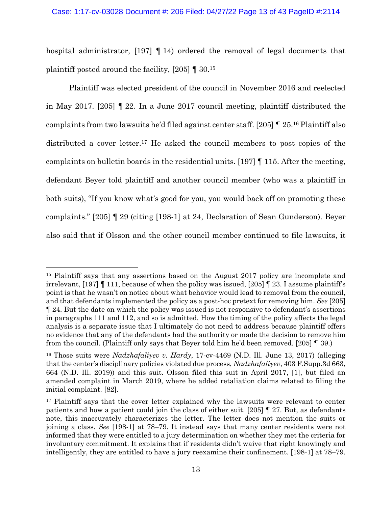## Case: 1:17-cv-03028 Document #: 206 Filed: 04/27/22 Page 13 of 43 PageID #:2114

hospital administrator, [197] ¶ 14) ordered the removal of legal documents that plaintiff posted around the facility, [205] ¶ 30.<sup>15</sup>

Plaintiff was elected president of the council in November 2016 and reelected in May 2017. [205] ¶ 22. In a June 2017 council meeting, plaintiff distributed the complaints from two lawsuits he'd filed against center staff. [205] ¶ 25.<sup>16</sup> Plaintiff also distributed a cover letter. <sup>17</sup> He asked the council members to post copies of the complaints on bulletin boards in the residential units. [197] ¶ 115. After the meeting, defendant Beyer told plaintiff and another council member (who was a plaintiff in both suits), "If you know what's good for you, you would back off on promoting these complaints." [205] ¶ 29 (citing [198-1] at 24, Declaration of Sean Gunderson). Beyer also said that if Olsson and the other council member continued to file lawsuits, it

<sup>&</sup>lt;sup>15</sup> Plaintiff says that any assertions based on the August 2017 policy are incomplete and irrelevant,  $[197]$  | 111, because of when the policy was issued,  $[205]$  | 23. I assume plaintiff's point is that he wasn't on notice about what behavior would lead to removal from the council, and that defendants implemented the policy as a post-hoc pretext for removing him. *See* [205] ¶ 24. But the date on which the policy was issued is not responsive to defendant's assertions in paragraphs 111 and 112, and so is admitted. How the timing of the policy affects the legal analysis is a separate issue that I ultimately do not need to address because plaintiff offers no evidence that any of the defendants had the authority or made the decision to remove him from the council. (Plaintiff only says that Beyer told him he'd been removed. [205] ¶ 39.)

<sup>16</sup> Those suits were *Nadzhafaliyev v. Hardy*, 17-cv-4469 (N.D. Ill. June 13, 2017) (alleging that the center's disciplinary policies violated due process, *Nadzhafaliyev*, 403 F.Supp.3d 663, 664 (N.D. Ill. 2019)) and this suit. Olsson filed this suit in April 2017, [1], but filed an amended complaint in March 2019, where he added retaliation claims related to filing the initial complaint. [82].

<sup>&</sup>lt;sup>17</sup> Plaintiff says that the cover letter explained why the lawsuits were relevant to center patients and how a patient could join the class of either suit. [205] ¶ 27. But, as defendants note, this inaccurately characterizes the letter. The letter does not mention the suits or joining a class. *See* [198-1] at 78–79. It instead says that many center residents were not informed that they were entitled to a jury determination on whether they met the criteria for involuntary commitment. It explains that if residents didn't waive that right knowingly and intelligently, they are entitled to have a jury reexamine their confinement. [198-1] at 78–79.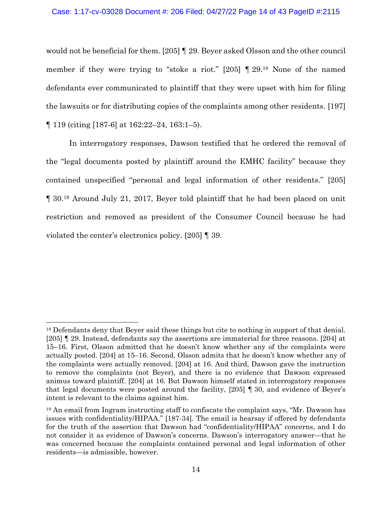## Case: 1:17-cv-03028 Document #: 206 Filed: 04/27/22 Page 14 of 43 PageID #:2115

would not be beneficial for them. [205] ¶ 29. Beyer asked Olsson and the other council member if they were trying to "stoke a riot." [205] ¶ 29.<sup>18</sup> None of the named defendants ever communicated to plaintiff that they were upset with him for filing the lawsuits or for distributing copies of the complaints among other residents. [197] ¶ 119 (citing [187-6] at 162:22–24, 163:1–5).

In interrogatory responses, Dawson testified that he ordered the removal of the "legal documents posted by plaintiff around the EMHC facility" because they contained unspecified "personal and legal information of other residents." [205] ¶ 30.<sup>19</sup> Around July 21, 2017, Beyer told plaintiff that he had been placed on unit restriction and removed as president of the Consumer Council because he had violated the center's electronics policy. [205] ¶ 39.

<sup>&</sup>lt;sup>18</sup> Defendants deny that Beyer said these things but cite to nothing in support of that denial. [205] ¶ 29. Instead, defendants say the assertions are immaterial for three reasons. [204] at 15–16. First, Olsson admitted that he doesn't know whether any of the complaints were actually posted. [204] at 15–16. Second, Olsson admits that he doesn't know whether any of the complaints were actually removed. [204] at 16. And third, Dawson gave the instruction to remove the complaints (not Beyer), and there is no evidence that Dawson expressed animus toward plaintiff. [204] at 16. But Dawson himself stated in interrogatory responses that legal documents were posted around the facility, [205] ¶ 30, and evidence of Beyer's intent is relevant to the claims against him.

<sup>19</sup> An email from Ingram instructing staff to confiscate the complaint says, "Mr. Dawson has issues with confidentiality/HIPAA." [187-34]. The email is hearsay if offered by defendants for the truth of the assertion that Dawson had "confidentiality/HIPAA" concerns, and I do not consider it as evidence of Dawson's concerns. Dawson's interrogatory answer—that he was concerned because the complaints contained personal and legal information of other residents—is admissible, however.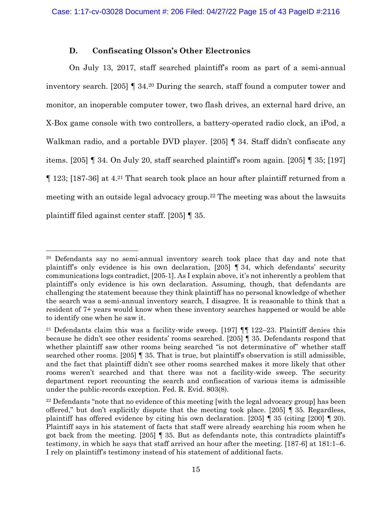# **D. Confiscating Olsson's Other Electronics**

On July 13, 2017, staff searched plaintiff's room as part of a semi-annual inventory search. [205] ¶ 34.<sup>20</sup> During the search, staff found a computer tower and monitor, an inoperable computer tower, two flash drives, an external hard drive, an X-Box game console with two controllers, a battery-operated radio clock, an iPod, a Walkman radio, and a portable DVD player. [205] ¶ 34. Staff didn't confiscate any items. [205] ¶ 34. On July 20, staff searched plaintiff's room again. [205] ¶ 35; [197] ¶ 123; [187-36] at 4.<sup>21</sup> That search took place an hour after plaintiff returned from a meeting with an outside legal advocacy group. <sup>22</sup> The meeting was about the lawsuits plaintiff filed against center staff. [205] ¶ 35.

<sup>20</sup> Defendants say no semi-annual inventory search took place that day and note that plaintiff's only evidence is his own declaration,  $[205]$  [34, which defendants' security communications logs contradict, [205-1]. As I explain above, it's not inherently a problem that plaintiff's only evidence is his own declaration. Assuming, though, that defendants are challenging the statement because they think plaintiff has no personal knowledge of whether the search was a semi-annual inventory search, I disagree. It is reasonable to think that a resident of 7+ years would know when these inventory searches happened or would be able to identify one when he saw it.

<sup>&</sup>lt;sup>21</sup> Defendants claim this was a facility-wide sweep. [197]  $\P$  122–23. Plaintiff denies this because he didn't see other residents' rooms searched. [205] ¶ 35. Defendants respond that whether plaintiff saw other rooms being searched "is not determinative of" whether staff searched other rooms. [205] ¶ 35. That is true, but plaintiff's observation is still admissible, and the fact that plaintiff didn't see other rooms searched makes it more likely that other rooms weren't searched and that there was not a facility-wide sweep. The security department report recounting the search and confiscation of various items is admissible under the public-records exception. Fed. R. Evid. 803(8).

<sup>&</sup>lt;sup>22</sup> Defendants "note that no evidence of this meeting [with the legal advocacy group] has been offered," but don't explicitly dispute that the meeting took place. [205]  $\parallel$  35. Regardless, plaintiff has offered evidence by citing his own declaration. [205]  $\parallel$  35 (citing [200]  $\parallel$  20). Plaintiff says in his statement of facts that staff were already searching his room when he got back from the meeting. [205] ¶ 35. But as defendants note, this contradicts plaintiff's testimony, in which he says that staff arrived an hour after the meeting. [187-6] at 181:1–6. I rely on plaintiff's testimony instead of his statement of additional facts.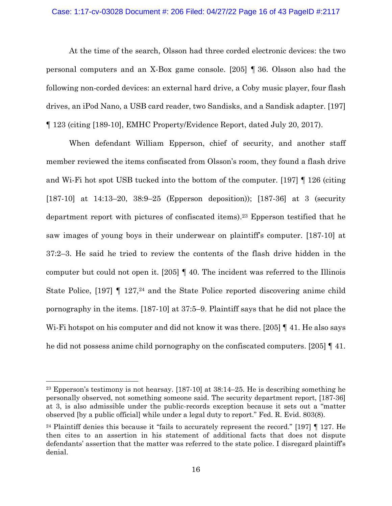## Case: 1:17-cv-03028 Document #: 206 Filed: 04/27/22 Page 16 of 43 PageID #:2117

At the time of the search, Olsson had three corded electronic devices: the two personal computers and an X-Box game console. [205] ¶ 36. Olsson also had the following non-corded devices: an external hard drive, a Coby music player, four flash drives, an iPod Nano, a USB card reader, two Sandisks, and a Sandisk adapter. [197] ¶ 123 (citing [189-10], EMHC Property/Evidence Report, dated July 20, 2017).

When defendant William Epperson, chief of security, and another staff member reviewed the items confiscated from Olsson's room, they found a flash drive and Wi-Fi hot spot USB tucked into the bottom of the computer. [197] ¶ 126 (citing [187-10] at 14:13–20, 38:9–25 (Epperson deposition)); [187-36] at 3 (security department report with pictures of confiscated items). <sup>23</sup> Epperson testified that he saw images of young boys in their underwear on plaintiff's computer. [187-10] at 37:2–3. He said he tried to review the contents of the flash drive hidden in the computer but could not open it. [205] ¶ 40. The incident was referred to the Illinois State Police, [197]  $\parallel$  127,<sup>24</sup> and the State Police reported discovering anime child pornography in the items. [187-10] at 37:5–9. Plaintiff says that he did not place the W<sub>i</sub>-Fi hotspot on his computer and did not know it was there. [205] 141. He also says he did not possess anime child pornography on the confiscated computers. [205] ¶ 41.

<sup>&</sup>lt;sup>23</sup> Epperson's testimony is not hearsay. [187-10] at  $38:14-25$ . He is describing something he personally observed, not something someone said. The security department report, [187-36] at 3, is also admissible under the public-records exception because it sets out a "matter observed [by a public official] while under a legal duty to report." Fed. R. Evid. 803(8).

<sup>&</sup>lt;sup>24</sup> Plaintiff denies this because it "fails to accurately represent the record." [197]  $\llbracket$  127. He then cites to an assertion in his statement of additional facts that does not dispute defendants' assertion that the matter was referred to the state police. I disregard plaintiff's denial.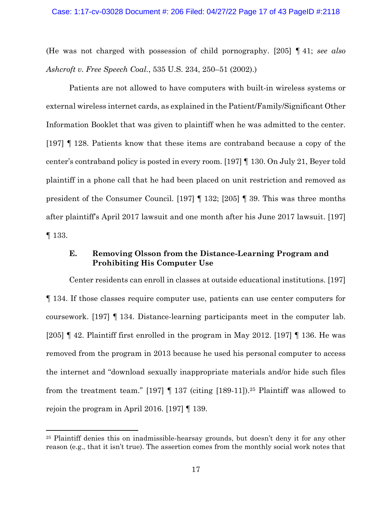(He was not charged with possession of child pornography. [205] ¶ 41; *see also Ashcroft v. Free Speech Coal.*, 535 U.S. 234, 250–51 (2002).)

Patients are not allowed to have computers with built-in wireless systems or external wireless internet cards, as explained in the Patient/Family/Significant Other Information Booklet that was given to plaintiff when he was admitted to the center. [197] ¶ 128. Patients know that these items are contraband because a copy of the center's contraband policy is posted in every room. [197] ¶ 130. On July 21, Beyer told plaintiff in a phone call that he had been placed on unit restriction and removed as president of the Consumer Council. [197] ¶ 132; [205] ¶ 39. This was three months after plaintiff's April 2017 lawsuit and one month after his June 2017 lawsuit. [197] ¶ 133.

# **E. Removing Olsson from the Distance-Learning Program and Prohibiting His Computer Use**

Center residents can enroll in classes at outside educational institutions. [197] ¶ 134. If those classes require computer use, patients can use center computers for coursework. [197] ¶ 134. Distance-learning participants meet in the computer lab. [205] ¶ 42. Plaintiff first enrolled in the program in May 2012. [197] ¶ 136. He was removed from the program in 2013 because he used his personal computer to access the internet and "download sexually inappropriate materials and/or hide such files from the treatment team." [197]  $\P$  137 (citing [189-11]).<sup>25</sup> Plaintiff was allowed to rejoin the program in April 2016. [197] ¶ 139.

<sup>25</sup> Plaintiff denies this on inadmissible-hearsay grounds, but doesn't deny it for any other reason (e.g., that it isn't true). The assertion comes from the monthly social work notes that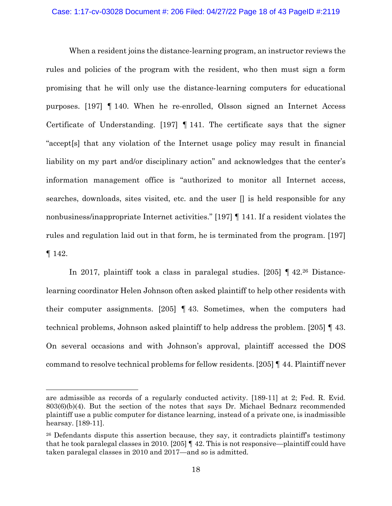## Case: 1:17-cv-03028 Document #: 206 Filed: 04/27/22 Page 18 of 43 PageID #:2119

When a resident joins the distance-learning program, an instructor reviews the rules and policies of the program with the resident, who then must sign a form promising that he will only use the distance-learning computers for educational purposes. [197] ¶ 140. When he re-enrolled, Olsson signed an Internet Access Certificate of Understanding. [197]  $\parallel$  141. The certificate says that the signer "accept[s] that any violation of the Internet usage policy may result in financial liability on my part and/or disciplinary action" and acknowledges that the center's information management office is "authorized to monitor all Internet access, searches, downloads, sites visited, etc. and the user [] is held responsible for any nonbusiness/inappropriate Internet activities." [197] ¶ 141. If a resident violates the rules and regulation laid out in that form, he is terminated from the program. [197] ¶ 142.

In 2017, plaintiff took a class in paralegal studies. [205] ¶ 42.<sup>26</sup> Distancelearning coordinator Helen Johnson often asked plaintiff to help other residents with their computer assignments. [205] ¶ 43. Sometimes, when the computers had technical problems, Johnson asked plaintiff to help address the problem. [205] ¶ 43. On several occasions and with Johnson's approval, plaintiff accessed the DOS command to resolve technical problems for fellow residents. [205] ¶ 44. Plaintiff never

are admissible as records of a regularly conducted activity. [189-11] at 2; Fed. R. Evid. 803(6)(b)(4). But the section of the notes that says Dr. Michael Bednarz recommended plaintiff use a public computer for distance learning, instead of a private one, is inadmissible hearsay. [189-11].

<sup>&</sup>lt;sup>26</sup> Defendants dispute this assertion because, they say, it contradicts plaintiff's testimony that he took paralegal classes in 2010. [205] ¶ 42. This is not responsive—plaintiff could have taken paralegal classes in 2010 and 2017—and so is admitted.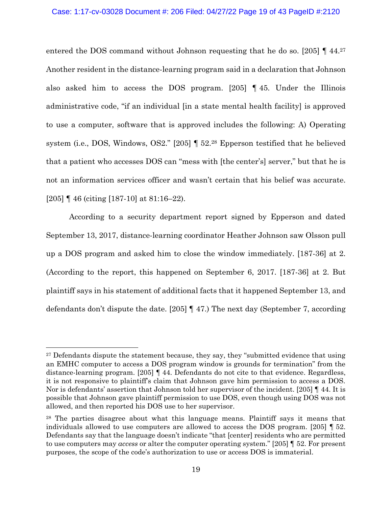## Case: 1:17-cv-03028 Document #: 206 Filed: 04/27/22 Page 19 of 43 PageID #:2120

entered the DOS command without Johnson requesting that he do so. [205] [ 44.<sup>27</sup> Another resident in the distance-learning program said in a declaration that Johnson also asked him to access the DOS program. [205] ¶ 45. Under the Illinois administrative code, "if an individual [in a state mental health facility] is approved to use a computer, software that is approved includes the following: A) Operating system (i.e., DOS, Windows, OS2." [205] ¶ 52.<sup>28</sup> Epperson testified that he believed that a patient who accesses DOS can "mess with [the center's] server," but that he is not an information services officer and wasn't certain that his belief was accurate. [205] ¶ 46 (citing [187-10] at 81:16–22).

According to a security department report signed by Epperson and dated September 13, 2017, distance-learning coordinator Heather Johnson saw Olsson pull up a DOS program and asked him to close the window immediately. [187-36] at 2. (According to the report, this happened on September 6, 2017. [187-36] at 2. But plaintiff says in his statement of additional facts that it happened September 13, and defendants don't dispute the date. [205] ¶ 47.) The next day (September 7, according

<sup>&</sup>lt;sup>27</sup> Defendants dispute the statement because, they say, they "submitted evidence that using an EMHC computer to access a DOS program window is grounds for termination" from the distance-learning program. [205] ¶ 44. Defendants do not cite to that evidence. Regardless, it is not responsive to plaintiff's claim that Johnson gave him permission to access a DOS. Nor is defendants' assertion that Johnson told her supervisor of the incident. [205] ¶ 44. It is possible that Johnson gave plaintiff permission to use DOS, even though using DOS was not allowed, and then reported his DOS use to her supervisor.

<sup>28</sup> The parties disagree about what this language means. Plaintiff says it means that individuals allowed to use computers are allowed to access the DOS program. [205] ¶ 52. Defendants say that the language doesn't indicate "that [center] residents who are permitted to use computers may *access* or alter the computer operating system." [205] ¶ 52. For present purposes, the scope of the code's authorization to use or access DOS is immaterial.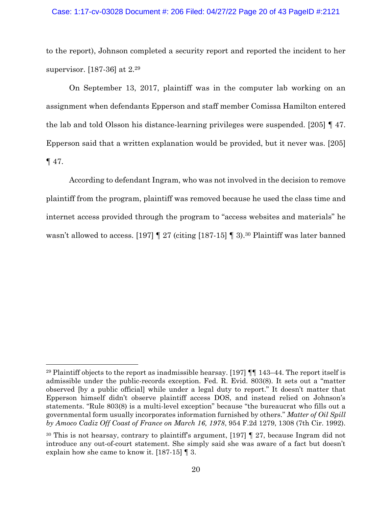## Case: 1:17-cv-03028 Document #: 206 Filed: 04/27/22 Page 20 of 43 PageID #:2121

to the report), Johnson completed a security report and reported the incident to her supervisor. [187-36] at 2.<sup>29</sup>

On September 13, 2017, plaintiff was in the computer lab working on an assignment when defendants Epperson and staff member Comissa Hamilton entered the lab and told Olsson his distance-learning privileges were suspended. [205] ¶ 47. Epperson said that a written explanation would be provided, but it never was. [205] ¶ 47.

According to defendant Ingram, who was not involved in the decision to remove plaintiff from the program, plaintiff was removed because he used the class time and internet access provided through the program to "access websites and materials" he wasn't allowed to access. [197] [ 27 (citing [187-15] [ 3).<sup>30</sup> Plaintiff was later banned

<sup>&</sup>lt;sup>29</sup> Plaintiff objects to the report as inadmissible hearsay. [197]  $\P$  143–44. The report itself is admissible under the public-records exception. Fed. R. Evid. 803(8). It sets out a "matter observed [by a public official] while under a legal duty to report." It doesn't matter that Epperson himself didn't observe plaintiff access DOS, and instead relied on Johnson's statements. "Rule 803(8) is a multi-level exception" because "the bureaucrat who fills out a governmental form usually incorporates information furnished by others." *Matter of Oil Spill by Amoco Cadiz Off Coast of France on March 16, 1978*, 954 F.2d 1279, 1308 (7th Cir. 1992).

<sup>30</sup> This is not hearsay, contrary to plaintiff's argument, [197] ¶ 27, because Ingram did not introduce any out-of-court statement. She simply said she was aware of a fact but doesn't explain how she came to know it. [187-15] ¶ 3.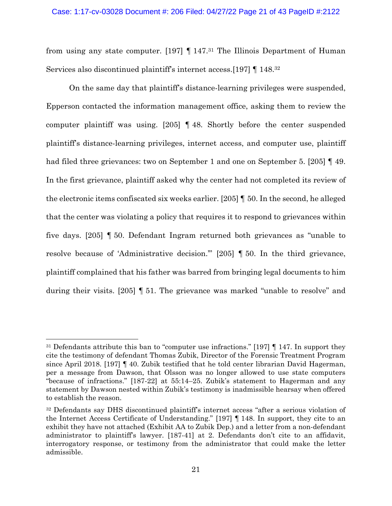from using any state computer. [197] ¶ 147.<sup>31</sup> The Illinois Department of Human Services also discontinued plaintiff's internet access.[197] ¶ 148.<sup>32</sup>

On the same day that plaintiff's distance-learning privileges were suspended, Epperson contacted the information management office, asking them to review the computer plaintiff was using. [205] ¶ 48. Shortly before the center suspended plaintiff's distance-learning privileges, internet access, and computer use, plaintiff had filed three grievances: two on September 1 and one on September 5. [205] ¶ 49. In the first grievance, plaintiff asked why the center had not completed its review of the electronic items confiscated six weeks earlier. [205] ¶ 50. In the second, he alleged that the center was violating a policy that requires it to respond to grievances within five days. [205] ¶ 50. Defendant Ingram returned both grievances as "unable to resolve because of 'Administrative decision.'" [205] ¶ 50. In the third grievance, plaintiff complained that his father was barred from bringing legal documents to him during their visits. [205] ¶ 51. The grievance was marked "unable to resolve" and

<sup>31</sup> Defendants attribute this ban to "computer use infractions." [197] ¶ 147. In support they cite the testimony of defendant Thomas Zubik, Director of the Forensic Treatment Program since April 2018. [197] ¶ 40. Zubik testified that he told center librarian David Hagerman, per a message from Dawson, that Olsson was no longer allowed to use state computers "because of infractions." [187-22] at 55:14–25. Zubik's statement to Hagerman and any statement by Dawson nested within Zubik's testimony is inadmissible hearsay when offered to establish the reason.

<sup>&</sup>lt;sup>32</sup> Defendants say DHS discontinued plaintiff's internet access "after a serious violation of the Internet Access Certificate of Understanding." [197] ¶ 148. In support, they cite to an exhibit they have not attached (Exhibit AA to Zubik Dep.) and a letter from a non-defendant administrator to plaintiff's lawyer. [187-41] at 2. Defendants don't cite to an affidavit, interrogatory response, or testimony from the administrator that could make the letter admissible.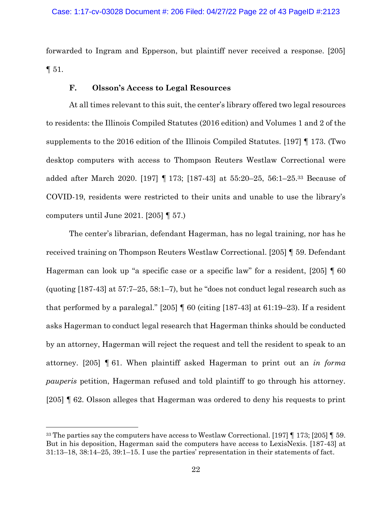forwarded to Ingram and Epperson, but plaintiff never received a response. [205]  $\P 51.$ 

# **F. Olsson's Access to Legal Resources**

At all times relevant to this suit, the center's library offered two legal resources to residents: the Illinois Compiled Statutes (2016 edition) and Volumes 1 and 2 of the supplements to the 2016 edition of the Illinois Compiled Statutes. [197] ¶ 173. (Two desktop computers with access to Thompson Reuters Westlaw Correctional were added after March 2020. [197] ¶ 173; [187-43] at 55:20–25, 56:1–25.<sup>33</sup> Because of COVID-19, residents were restricted to their units and unable to use the library's computers until June 2021. [205] ¶ 57.)

The center's librarian, defendant Hagerman, has no legal training, nor has he received training on Thompson Reuters Westlaw Correctional. [205] ¶ 59. Defendant Hagerman can look up "a specific case or a specific law" for a resident, [205] ¶ 60 (quoting [187-43] at 57:7–25, 58:1–7), but he "does not conduct legal research such as that performed by a paralegal." [205]  $\parallel$  60 (citing [187-43] at 61:19-23). If a resident asks Hagerman to conduct legal research that Hagerman thinks should be conducted by an attorney, Hagerman will reject the request and tell the resident to speak to an attorney. [205] ¶ 61. When plaintiff asked Hagerman to print out an *in forma pauperis* petition, Hagerman refused and told plaintiff to go through his attorney. [205] ¶ 62. Olsson alleges that Hagerman was ordered to deny his requests to print

<sup>33</sup> The parties say the computers have access to Westlaw Correctional. [197] ¶ 173; [205] ¶ 59. But in his deposition, Hagerman said the computers have access to LexisNexis. [187-43] at 31:13–18, 38:14–25, 39:1–15. I use the parties' representation in their statements of fact.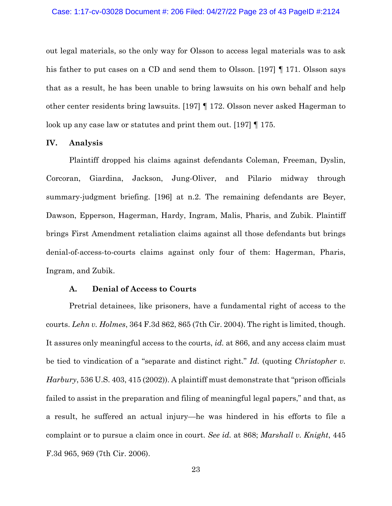out legal materials, so the only way for Olsson to access legal materials was to ask his father to put cases on a CD and send them to Olsson. [197] ¶ 171. Olsson says that as a result, he has been unable to bring lawsuits on his own behalf and help other center residents bring lawsuits. [197] ¶ 172. Olsson never asked Hagerman to look up any case law or statutes and print them out. [197] ¶ 175.

#### **IV. Analysis**

Plaintiff dropped his claims against defendants Coleman, Freeman, Dyslin, Corcoran, Giardina, Jackson, Jung-Oliver, and Pilario midway through summary-judgment briefing. [196] at n.2. The remaining defendants are Beyer, Dawson, Epperson, Hagerman, Hardy, Ingram, Malis, Pharis, and Zubik. Plaintiff brings First Amendment retaliation claims against all those defendants but brings denial-of-access-to-courts claims against only four of them: Hagerman, Pharis, Ingram, and Zubik.

#### **A. Denial of Access to Courts**

Pretrial detainees, like prisoners, have a fundamental right of access to the courts. *Lehn v. Holmes*, 364 F.3d 862, 865 (7th Cir. 2004). The right is limited, though. It assures only meaningful access to the courts, *id.* at 866, and any access claim must be tied to vindication of a "separate and distinct right." *Id.* (quoting *Christopher v. Harbury*, 536 U.S. 403, 415 (2002)). A plaintiff must demonstrate that "prison officials failed to assist in the preparation and filing of meaningful legal papers," and that, as a result, he suffered an actual injury—he was hindered in his efforts to file a complaint or to pursue a claim once in court. *See id.* at 868; *Marshall v. Knight*, 445 F.3d 965, 969 (7th Cir. 2006).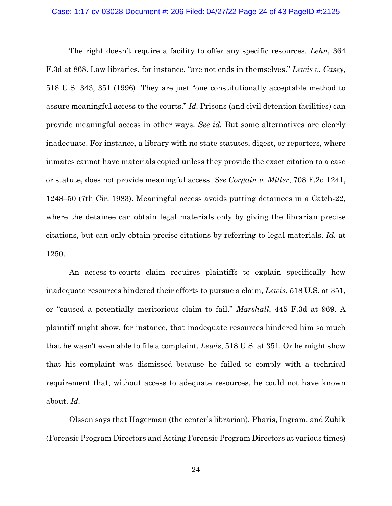#### Case: 1:17-cv-03028 Document #: 206 Filed: 04/27/22 Page 24 of 43 PageID #:2125

The right doesn't require a facility to offer any specific resources. *Lehn*, 364 F.3d at 868. Law libraries, for instance, "are not ends in themselves." *Lewis v. Casey*, 518 U.S. 343, 351 (1996). They are just "one constitutionally acceptable method to assure meaningful access to the courts." *Id.* Prisons (and civil detention facilities) can provide meaningful access in other ways. *See id.* But some alternatives are clearly inadequate. For instance, a library with no state statutes, digest, or reporters, where inmates cannot have materials copied unless they provide the exact citation to a case or statute, does not provide meaningful access. *See Corgain v. Miller*, 708 F.2d 1241, 1248–50 (7th Cir. 1983). Meaningful access avoids putting detainees in a Catch-22, where the detainee can obtain legal materials only by giving the librarian precise citations, but can only obtain precise citations by referring to legal materials. *Id.* at 1250.

An access-to-courts claim requires plaintiffs to explain specifically how inadequate resources hindered their efforts to pursue a claim, *Lewis*, 518 U.S. at 351, or "caused a potentially meritorious claim to fail." *Marshall*, 445 F.3d at 969. A plaintiff might show, for instance, that inadequate resources hindered him so much that he wasn't even able to file a complaint. *Lewis*, 518 U.S. at 351. Or he might show that his complaint was dismissed because he failed to comply with a technical requirement that, without access to adequate resources, he could not have known about. *Id.*

Olsson says that Hagerman (the center's librarian), Pharis, Ingram, and Zubik (Forensic Program Directors and Acting Forensic Program Directors at various times)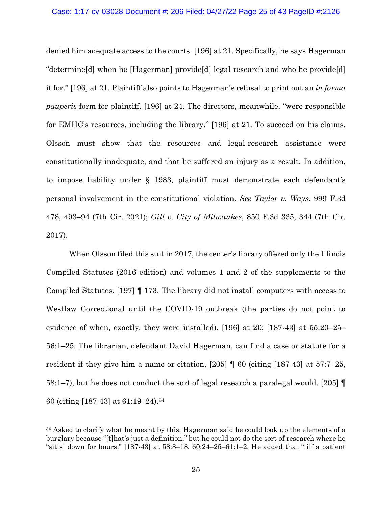#### Case: 1:17-cv-03028 Document #: 206 Filed: 04/27/22 Page 25 of 43 PageID #:2126

denied him adequate access to the courts. [196] at 21. Specifically, he says Hagerman "determine[d] when he [Hagerman] provide[d] legal research and who he provide[d] it for." [196] at 21. Plaintiff also points to Hagerman's refusal to print out an *in forma pauperis* form for plaintiff. [196] at 24. The directors, meanwhile, "were responsible for EMHC's resources, including the library." [196] at 21. To succeed on his claims, Olsson must show that the resources and legal-research assistance were constitutionally inadequate, and that he suffered an injury as a result. In addition, to impose liability under § 1983, plaintiff must demonstrate each defendant's personal involvement in the constitutional violation. *See Taylor v. Ways*, 999 F.3d 478, 493–94 (7th Cir. 2021); *Gill v. City of Milwaukee*, 850 F.3d 335, 344 (7th Cir. 2017).

When Olsson filed this suit in 2017, the center's library offered only the Illinois Compiled Statutes (2016 edition) and volumes 1 and 2 of the supplements to the Compiled Statutes. [197] ¶ 173. The library did not install computers with access to Westlaw Correctional until the COVID-19 outbreak (the parties do not point to evidence of when, exactly, they were installed). [196] at 20; [187-43] at 55:20–25– 56:1–25. The librarian, defendant David Hagerman, can find a case or statute for a resident if they give him a name or citation, [205] ¶ 60 (citing [187-43] at 57:7–25, 58:1–7), but he does not conduct the sort of legal research a paralegal would. [205] ¶ 60 (citing [187-43] at 61:19–24).<sup>34</sup>

<sup>&</sup>lt;sup>34</sup> Asked to clarify what he meant by this, Hagerman said he could look up the elements of a burglary because "[t]hat's just a definition," but he could not do the sort of research where he "sit[s] down for hours." [187-43] at  $58:8-18$ ,  $60:24-25-61:1-2$ . He added that "[i]f a patient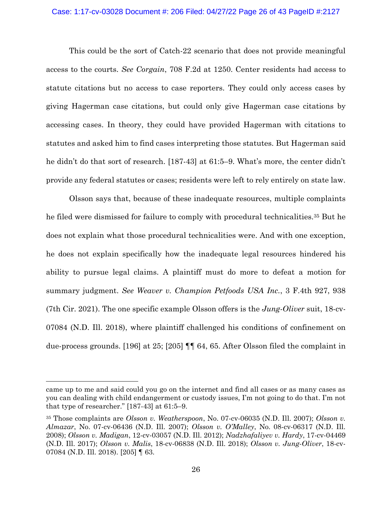## Case: 1:17-cv-03028 Document #: 206 Filed: 04/27/22 Page 26 of 43 PageID #:2127

This could be the sort of Catch-22 scenario that does not provide meaningful access to the courts. *See Corgain*, 708 F.2d at 1250. Center residents had access to statute citations but no access to case reporters. They could only access cases by giving Hagerman case citations, but could only give Hagerman case citations by accessing cases. In theory, they could have provided Hagerman with citations to statutes and asked him to find cases interpreting those statutes. But Hagerman said he didn't do that sort of research. [187-43] at 61:5–9. What's more, the center didn't provide any federal statutes or cases; residents were left to rely entirely on state law.

Olsson says that, because of these inadequate resources, multiple complaints he filed were dismissed for failure to comply with procedural technicalities.<sup>35</sup> But he does not explain what those procedural technicalities were. And with one exception, he does not explain specifically how the inadequate legal resources hindered his ability to pursue legal claims. A plaintiff must do more to defeat a motion for summary judgment. *See Weaver v. Champion Petfoods USA Inc.*, 3 F.4th 927, 938 (7th Cir. 2021). The one specific example Olsson offers is the *Jung-Oliver* suit, 18-cv-07084 (N.D. Ill. 2018), where plaintiff challenged his conditions of confinement on due-process grounds. [196] at 25; [205] ¶¶ 64, 65. After Olsson filed the complaint in

came up to me and said could you go on the internet and find all cases or as many cases as you can dealing with child endangerment or custody issues, I'm not going to do that. I'm not that type of researcher." [187-43] at 61:5–9.

<sup>35</sup> Those complaints are *Olsson v. Weatherspoon*, No. 07-cv-06035 (N.D. Ill. 2007); *Olsson v. Almazar*, No. 07-cv-06436 (N.D. Ill. 2007); *Olsson v. O'Malley*, No. 08-cv-06317 (N.D. Ill. 2008); *Olsson v. Madigan*, 12-cv-03057 (N.D. Ill. 2012); *Nadzhafaliyev v. Hardy*, 17-cv-04469 (N.D. Ill. 2017); *Olsson v. Malis*, 18-cv-06838 (N.D. Ill. 2018); *Olsson v. Jung-Oliver*, 18-cv-07084 (N.D. Ill. 2018). [205] ¶ 63.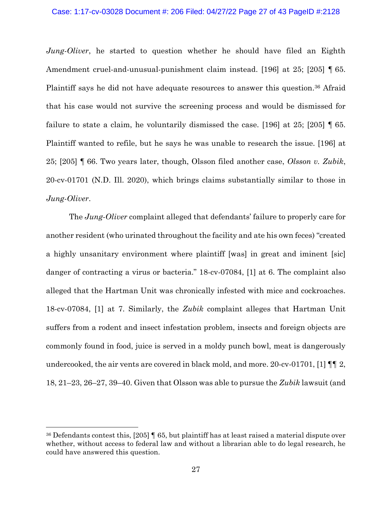#### Case: 1:17-cv-03028 Document #: 206 Filed: 04/27/22 Page 27 of 43 PageID #:2128

*Jung-Oliver*, he started to question whether he should have filed an Eighth Amendment cruel-and-unusual-punishment claim instead. [196] at 25; [205] ¶ 65. Plaintiff says he did not have adequate resources to answer this question. <sup>36</sup> Afraid that his case would not survive the screening process and would be dismissed for failure to state a claim, he voluntarily dismissed the case. [196] at 25; [205] ¶ 65. Plaintiff wanted to refile, but he says he was unable to research the issue. [196] at 25; [205] ¶ 66. Two years later, though, Olsson filed another case, *Olsson v. Zubik*, 20-cv-01701 (N.D. Ill. 2020), which brings claims substantially similar to those in *Jung-Oliver*.

The *Jung-Oliver* complaint alleged that defendants' failure to properly care for another resident (who urinated throughout the facility and ate his own feces) "created a highly unsanitary environment where plaintiff [was] in great and iminent [sic] danger of contracting a virus or bacteria." 18-cv-07084, [1] at 6. The complaint also alleged that the Hartman Unit was chronically infested with mice and cockroaches. 18-cv-07084, [1] at 7. Similarly, the *Zubik* complaint alleges that Hartman Unit suffers from a rodent and insect infestation problem, insects and foreign objects are commonly found in food, juice is served in a moldy punch bowl, meat is dangerously undercooked, the air vents are covered in black mold, and more. 20-cv-01701, [1]  $\P$ [2, 18, 21–23, 26–27, 39–40. Given that Olsson was able to pursue the *Zubik* lawsuit (and

<sup>36</sup> Defendants contest this, [205] ¶ 65, but plaintiff has at least raised a material dispute over whether, without access to federal law and without a librarian able to do legal research, he could have answered this question.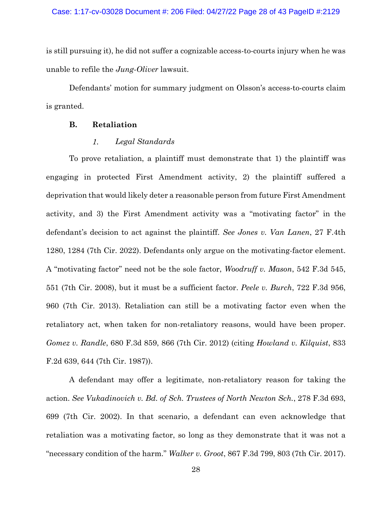is still pursuing it), he did not suffer a cognizable access-to-courts injury when he was unable to refile the *Jung-Oliver* lawsuit.

Defendants' motion for summary judgment on Olsson's access-to-courts claim is granted.

## **B. Retaliation**

#### $1.$ *Legal Standards*

To prove retaliation, a plaintiff must demonstrate that 1) the plaintiff was engaging in protected First Amendment activity, 2) the plaintiff suffered a deprivation that would likely deter a reasonable person from future First Amendment activity, and 3) the First Amendment activity was a "motivating factor" in the defendant's decision to act against the plaintiff. *See Jones v. Van Lanen*, 27 F.4th 1280, 1284 (7th Cir. 2022). Defendants only argue on the motivating-factor element. A "motivating factor" need not be the sole factor, *Woodruff v. Mason*, 542 F.3d 545, 551 (7th Cir. 2008), but it must be a sufficient factor. *Peele v. Burch*, 722 F.3d 956, 960 (7th Cir. 2013). Retaliation can still be a motivating factor even when the retaliatory act, when taken for non-retaliatory reasons, would have been proper. *Gomez v. Randle*, 680 F.3d 859, 866 (7th Cir. 2012) (citing *Howland v. Kilquist*, 833 F.2d 639, 644 (7th Cir. 1987)).

A defendant may offer a legitimate, non-retaliatory reason for taking the action. *See Vukadinovich v. Bd. of Sch. Trustees of North Newton Sch.*, 278 F.3d 693, 699 (7th Cir. 2002). In that scenario, a defendant can even acknowledge that retaliation was a motivating factor, so long as they demonstrate that it was not a "necessary condition of the harm." *Walker v. Groot*, 867 F.3d 799, 803 (7th Cir. 2017).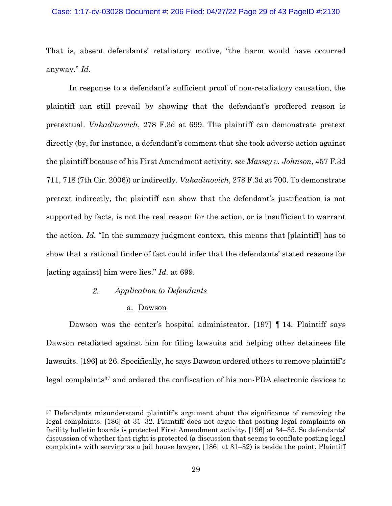## Case: 1:17-cv-03028 Document #: 206 Filed: 04/27/22 Page 29 of 43 PageID #:2130

That is, absent defendants' retaliatory motive, "the harm would have occurred anyway." *Id.*

In response to a defendant's sufficient proof of non-retaliatory causation, the plaintiff can still prevail by showing that the defendant's proffered reason is pretextual. *Vukadinovich*, 278 F.3d at 699. The plaintiff can demonstrate pretext directly (by, for instance, a defendant's comment that she took adverse action against the plaintiff because of his First Amendment activity, *see Massey v. Johnson*, 457 F.3d 711, 718 (7th Cir. 2006)) or indirectly. *Vukadinovich*, 278 F.3d at 700. To demonstrate pretext indirectly, the plaintiff can show that the defendant's justification is not supported by facts, is not the real reason for the action, or is insufficient to warrant the action. *Id.* "In the summary judgment context, this means that [plaintiff] has to show that a rational finder of fact could infer that the defendants' stated reasons for [acting against] him were lies." *Id.* at 699.

#### $2.$ *Application to Defendants*

## a. Dawson

Dawson was the center's hospital administrator. [197] ¶ 14. Plaintiff says Dawson retaliated against him for filing lawsuits and helping other detainees file lawsuits. [196] at 26. Specifically, he says Dawson ordered others to remove plaintiff's legal complaints<sup>37</sup> and ordered the confiscation of his non-PDA electronic devices to

<sup>&</sup>lt;sup>37</sup> Defendants misunderstand plaintiff's argument about the significance of removing the legal complaints. [186] at 31–32. Plaintiff does not argue that posting legal complaints on facility bulletin boards is protected First Amendment activity. [196] at 34–35. So defendants' discussion of whether that right is protected (a discussion that seems to conflate posting legal complaints with serving as a jail house lawyer, [186] at 31–32) is beside the point. Plaintiff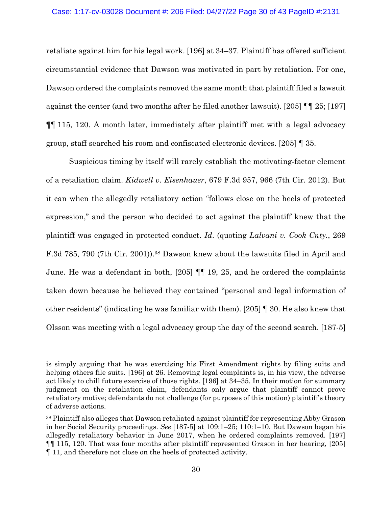## Case: 1:17-cv-03028 Document #: 206 Filed: 04/27/22 Page 30 of 43 PageID #:2131

retaliate against him for his legal work. [196] at 34–37. Plaintiff has offered sufficient circumstantial evidence that Dawson was motivated in part by retaliation. For one, Dawson ordered the complaints removed the same month that plaintiff filed a lawsuit against the center (and two months after he filed another lawsuit). [205] ¶¶ 25; [197] ¶¶ 115, 120. A month later, immediately after plaintiff met with a legal advocacy group, staff searched his room and confiscated electronic devices. [205] ¶ 35.

Suspicious timing by itself will rarely establish the motivating-factor element of a retaliation claim. *Kidwell v. Eisenhauer*, 679 F.3d 957, 966 (7th Cir. 2012). But it can when the allegedly retaliatory action "follows close on the heels of protected expression," and the person who decided to act against the plaintiff knew that the plaintiff was engaged in protected conduct. *Id*. (quoting *Lalvani v. Cook Cnty.*, 269 F.3d 785, 790 (7th Cir. 2001)).<sup>38</sup> Dawson knew about the lawsuits filed in April and June. He was a defendant in both, [205] ¶¶ 19, 25, and he ordered the complaints taken down because he believed they contained "personal and legal information of other residents" (indicating he was familiar with them). [205] ¶ 30. He also knew that Olsson was meeting with a legal advocacy group the day of the second search. [187-5]

is simply arguing that he was exercising his First Amendment rights by filing suits and helping others file suits. [196] at 26. Removing legal complaints is, in his view, the adverse act likely to chill future exercise of those rights. [196] at 34–35. In their motion for summary judgment on the retaliation claim, defendants only argue that plaintiff cannot prove retaliatory motive; defendants do not challenge (for purposes of this motion) plaintiff's theory of adverse actions.

<sup>38</sup> Plaintiff also alleges that Dawson retaliated against plaintiff for representing Abby Grason in her Social Security proceedings. *See* [187-5] at 109:1–25; 110:1–10. But Dawson began his allegedly retaliatory behavior in June 2017, when he ordered complaints removed. [197] ¶¶ 115, 120. That was four months after plaintiff represented Grason in her hearing, [205] ¶ 11, and therefore not close on the heels of protected activity.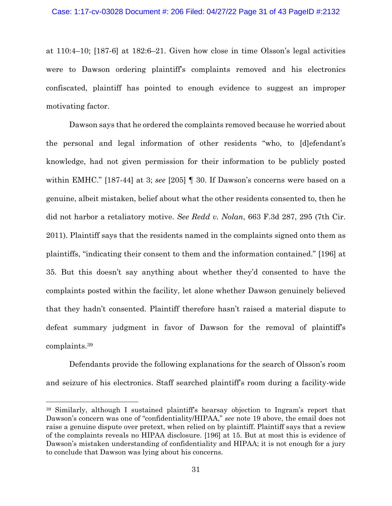at 110:4–10; [187-6] at 182:6–21. Given how close in time Olsson's legal activities were to Dawson ordering plaintiff's complaints removed and his electronics confiscated, plaintiff has pointed to enough evidence to suggest an improper motivating factor.

Dawson says that he ordered the complaints removed because he worried about the personal and legal information of other residents "who, to [d]efendant's knowledge, had not given permission for their information to be publicly posted within EMHC." [187-44] at 3; *see* [205] ¶ 30. If Dawson's concerns were based on a genuine, albeit mistaken, belief about what the other residents consented to, then he did not harbor a retaliatory motive. *See Redd v. Nolan*, 663 F.3d 287, 295 (7th Cir. 2011). Plaintiff says that the residents named in the complaints signed onto them as plaintiffs, "indicating their consent to them and the information contained." [196] at 35. But this doesn't say anything about whether they'd consented to have the complaints posted within the facility, let alone whether Dawson genuinely believed that they hadn't consented. Plaintiff therefore hasn't raised a material dispute to defeat summary judgment in favor of Dawson for the removal of plaintiff's complaints. 39

Defendants provide the following explanations for the search of Olsson's room and seizure of his electronics. Staff searched plaintiff's room during a facility-wide

<sup>39</sup> Similarly, although I sustained plaintiff's hearsay objection to Ingram's report that Dawson's concern was one of "confidentiality/HIPAA," *see* note 19 above, the email does not raise a genuine dispute over pretext, when relied on by plaintiff. Plaintiff says that a review of the complaints reveals no HIPAA disclosure. [196] at 15. But at most this is evidence of Dawson's mistaken understanding of confidentiality and HIPAA; it is not enough for a jury to conclude that Dawson was lying about his concerns.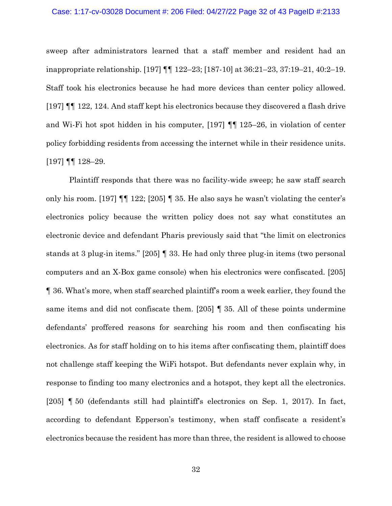#### Case: 1:17-cv-03028 Document #: 206 Filed: 04/27/22 Page 32 of 43 PageID #:2133

sweep after administrators learned that a staff member and resident had an inappropriate relationship. [197] ¶¶ 122–23; [187-10] at 36:21–23, 37:19–21, 40:2–19. Staff took his electronics because he had more devices than center policy allowed. [197] ¶¶ 122, 124. And staff kept his electronics because they discovered a flash drive and Wi-Fi hot spot hidden in his computer, [197] ¶¶ 125–26, in violation of center policy forbidding residents from accessing the internet while in their residence units. [197] ¶¶ 128–29.

Plaintiff responds that there was no facility-wide sweep; he saw staff search only his room. [197]  $\P$  122; [205]  $\P$  35. He also says he wasn't violating the center's electronics policy because the written policy does not say what constitutes an electronic device and defendant Pharis previously said that "the limit on electronics stands at 3 plug-in items." [205] ¶ 33. He had only three plug-in items (two personal computers and an X-Box game console) when his electronics were confiscated. [205] ¶ 36. What's more, when staff searched plaintiff's room a week earlier, they found the same items and did not confiscate them. [205] ¶ 35. All of these points undermine defendants' proffered reasons for searching his room and then confiscating his electronics. As for staff holding on to his items after confiscating them, plaintiff does not challenge staff keeping the WiFi hotspot. But defendants never explain why, in response to finding too many electronics and a hotspot, they kept all the electronics. [205] ¶ 50 (defendants still had plaintiff's electronics on Sep. 1, 2017). In fact, according to defendant Epperson's testimony, when staff confiscate a resident's electronics because the resident has more than three, the resident is allowed to choose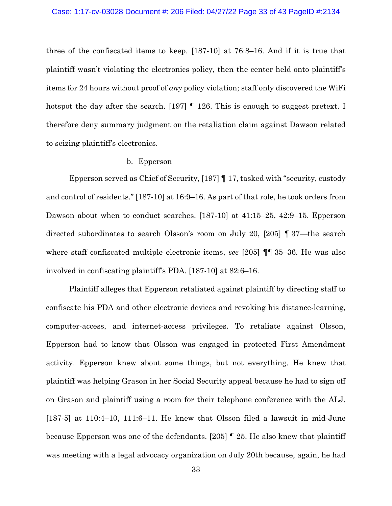three of the confiscated items to keep. [187-10] at 76:8–16. And if it is true that plaintiff wasn't violating the electronics policy, then the center held onto plaintiff's items for 24 hours without proof of *any* policy violation; staff only discovered the WiFi hotspot the day after the search. [197]  $\parallel$  126. This is enough to suggest pretext. I therefore deny summary judgment on the retaliation claim against Dawson related to seizing plaintiff's electronics.

#### b. Epperson

Epperson served as Chief of Security, [197] ¶ 17, tasked with "security, custody and control of residents." [187-10] at 16:9–16. As part of that role, he took orders from Dawson about when to conduct searches. [187-10] at 41:15–25, 42:9–15. Epperson directed subordinates to search Olsson's room on July 20, [205] ¶ 37—the search where staff confiscated multiple electronic items, *see* [205] ¶¶ 35–36. He was also involved in confiscating plaintiff's PDA. [187-10] at 82:6–16.

Plaintiff alleges that Epperson retaliated against plaintiff by directing staff to confiscate his PDA and other electronic devices and revoking his distance-learning, computer-access, and internet-access privileges. To retaliate against Olsson, Epperson had to know that Olsson was engaged in protected First Amendment activity. Epperson knew about some things, but not everything. He knew that plaintiff was helping Grason in her Social Security appeal because he had to sign off on Grason and plaintiff using a room for their telephone conference with the ALJ. [187-5] at 110:4–10, 111:6–11. He knew that Olsson filed a lawsuit in mid-June because Epperson was one of the defendants. [205] ¶ 25. He also knew that plaintiff was meeting with a legal advocacy organization on July 20th because, again, he had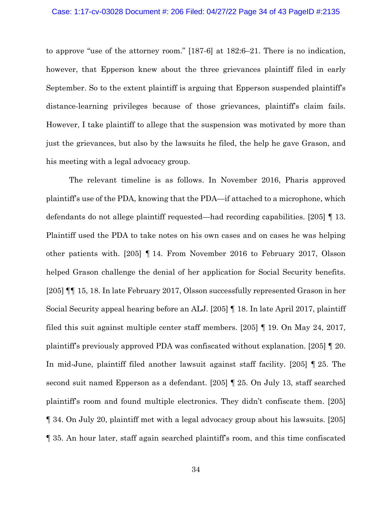#### Case: 1:17-cv-03028 Document #: 206 Filed: 04/27/22 Page 34 of 43 PageID #:2135

to approve "use of the attorney room." [187-6] at 182:6–21. There is no indication, however, that Epperson knew about the three grievances plaintiff filed in early September. So to the extent plaintiff is arguing that Epperson suspended plaintiff's distance-learning privileges because of those grievances, plaintiff's claim fails. However, I take plaintiff to allege that the suspension was motivated by more than just the grievances, but also by the lawsuits he filed, the help he gave Grason, and his meeting with a legal advocacy group.

The relevant timeline is as follows. In November 2016, Pharis approved plaintiff's use of the PDA, knowing that the PDA—if attached to a microphone, which defendants do not allege plaintiff requested—had recording capabilities. [205] ¶ 13. Plaintiff used the PDA to take notes on his own cases and on cases he was helping other patients with. [205] ¶ 14. From November 2016 to February 2017, Olsson helped Grason challenge the denial of her application for Social Security benefits. [205] ¶¶ 15, 18. In late February 2017, Olsson successfully represented Grason in her Social Security appeal hearing before an ALJ. [205] ¶ 18. In late April 2017, plaintiff filed this suit against multiple center staff members. [205] ¶ 19. On May 24, 2017, plaintiff's previously approved PDA was confiscated without explanation. [205] ¶ 20. In mid-June, plaintiff filed another lawsuit against staff facility. [205] ¶ 25. The second suit named Epperson as a defendant. [205] ¶ 25. On July 13, staff searched plaintiff's room and found multiple electronics. They didn't confiscate them. [205] ¶ 34. On July 20, plaintiff met with a legal advocacy group about his lawsuits. [205] ¶ 35. An hour later, staff again searched plaintiff's room, and this time confiscated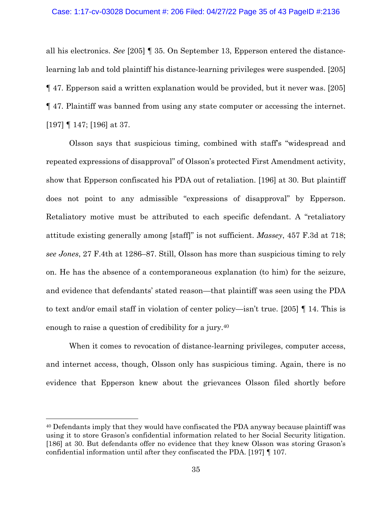all his electronics. *See* [205] ¶ 35. On September 13, Epperson entered the distancelearning lab and told plaintiff his distance-learning privileges were suspended. [205] ¶ 47. Epperson said a written explanation would be provided, but it never was. [205] ¶ 47. Plaintiff was banned from using any state computer or accessing the internet. [197] ¶ 147; [196] at 37.

Olsson says that suspicious timing, combined with staff's "widespread and repeated expressions of disapproval" of Olsson's protected First Amendment activity, show that Epperson confiscated his PDA out of retaliation. [196] at 30. But plaintiff does not point to any admissible "expressions of disapproval" by Epperson. Retaliatory motive must be attributed to each specific defendant. A "retaliatory attitude existing generally among [staff]" is not sufficient. *Massey*, 457 F.3d at 718; *see Jones*, 27 F.4th at 1286–87. Still, Olsson has more than suspicious timing to rely on. He has the absence of a contemporaneous explanation (to him) for the seizure, and evidence that defendants' stated reason—that plaintiff was seen using the PDA to text and/or email staff in violation of center policy—isn't true. [205] ¶ 14. This is enough to raise a question of credibility for a jury.<sup>40</sup>

When it comes to revocation of distance-learning privileges, computer access, and internet access, though, Olsson only has suspicious timing. Again, there is no evidence that Epperson knew about the grievances Olsson filed shortly before

<sup>40</sup> Defendants imply that they would have confiscated the PDA anyway because plaintiff was using it to store Grason's confidential information related to her Social Security litigation. [186] at 30. But defendants offer no evidence that they knew Olsson was storing Grason's confidential information until after they confiscated the PDA. [197] ¶ 107.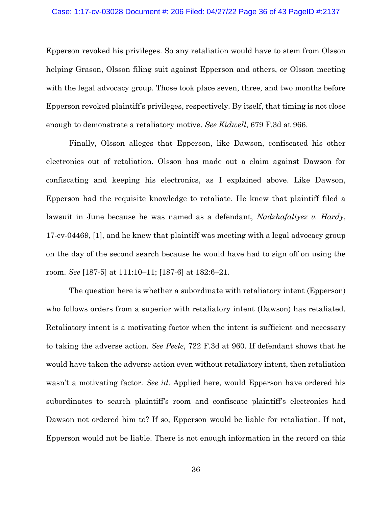#### Case: 1:17-cv-03028 Document #: 206 Filed: 04/27/22 Page 36 of 43 PageID #:2137

Epperson revoked his privileges. So any retaliation would have to stem from Olsson helping Grason, Olsson filing suit against Epperson and others, or Olsson meeting with the legal advocacy group. Those took place seven, three, and two months before Epperson revoked plaintiff's privileges, respectively. By itself, that timing is not close enough to demonstrate a retaliatory motive. *See Kidwell*, 679 F.3d at 966.

Finally, Olsson alleges that Epperson, like Dawson, confiscated his other electronics out of retaliation. Olsson has made out a claim against Dawson for confiscating and keeping his electronics, as I explained above. Like Dawson, Epperson had the requisite knowledge to retaliate. He knew that plaintiff filed a lawsuit in June because he was named as a defendant, *Nadzhafaliyez v. Hardy*, 17-cv-04469, [1], and he knew that plaintiff was meeting with a legal advocacy group on the day of the second search because he would have had to sign off on using the room. *See* [187-5] at 111:10–11; [187-6] at 182:6–21.

The question here is whether a subordinate with retaliatory intent (Epperson) who follows orders from a superior with retaliatory intent (Dawson) has retaliated. Retaliatory intent is a motivating factor when the intent is sufficient and necessary to taking the adverse action. *See Peele*, 722 F.3d at 960. If defendant shows that he would have taken the adverse action even without retaliatory intent, then retaliation wasn't a motivating factor. *See id*. Applied here, would Epperson have ordered his subordinates to search plaintiff's room and confiscate plaintiff's electronics had Dawson not ordered him to? If so, Epperson would be liable for retaliation. If not, Epperson would not be liable. There is not enough information in the record on this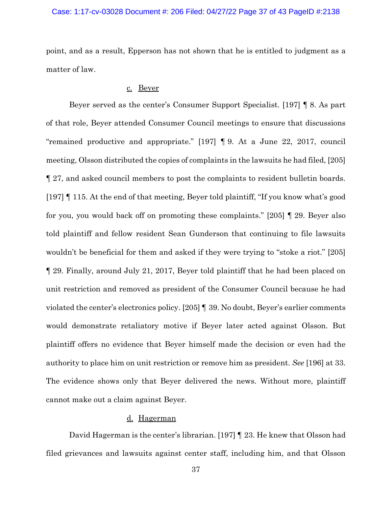point, and as a result, Epperson has not shown that he is entitled to judgment as a matter of law.

## c. Beyer

Beyer served as the center's Consumer Support Specialist. [197] ¶ 8. As part of that role, Beyer attended Consumer Council meetings to ensure that discussions "remained productive and appropriate." [197] ¶ 9. At a June 22, 2017, council meeting, Olsson distributed the copies of complaints in the lawsuits he had filed, [205] ¶ 27, and asked council members to post the complaints to resident bulletin boards. [197] ¶ 115. At the end of that meeting, Beyer told plaintiff, "If you know what's good for you, you would back off on promoting these complaints." [205] ¶ 29. Beyer also told plaintiff and fellow resident Sean Gunderson that continuing to file lawsuits wouldn't be beneficial for them and asked if they were trying to "stoke a riot." [205] ¶ 29. Finally, around July 21, 2017, Beyer told plaintiff that he had been placed on unit restriction and removed as president of the Consumer Council because he had violated the center's electronics policy. [205] ¶ 39. No doubt, Beyer's earlier comments would demonstrate retaliatory motive if Beyer later acted against Olsson. But plaintiff offers no evidence that Beyer himself made the decision or even had the authority to place him on unit restriction or remove him as president. *See* [196] at 33. The evidence shows only that Beyer delivered the news. Without more, plaintiff cannot make out a claim against Beyer.

# d. Hagerman

David Hagerman is the center's librarian. [197] ¶ 23. He knew that Olsson had filed grievances and lawsuits against center staff, including him, and that Olsson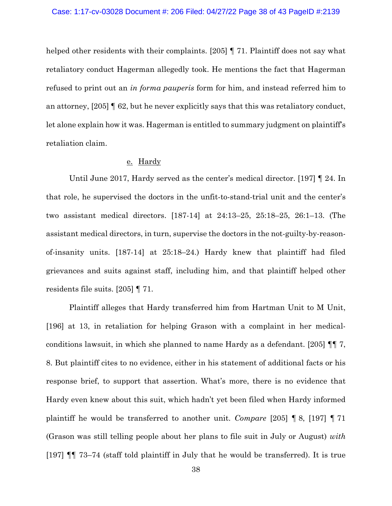helped other residents with their complaints. [205] **[71.** Plaintiff does not say what retaliatory conduct Hagerman allegedly took. He mentions the fact that Hagerman refused to print out an *in forma pauperis* form for him, and instead referred him to an attorney,  $[205]$  | 62, but he never explicitly says that this was retaliatory conduct, let alone explain how it was. Hagerman is entitled to summary judgment on plaintiff's retaliation claim.

## e. Hardy

Until June 2017, Hardy served as the center's medical director. [197] ¶ 24. In that role, he supervised the doctors in the unfit-to-stand-trial unit and the center's two assistant medical directors. [187-14] at 24:13–25, 25:18–25, 26:1–13. (The assistant medical directors, in turn, supervise the doctors in the not-guilty-by-reasonof-insanity units. [187-14] at 25:18–24.) Hardy knew that plaintiff had filed grievances and suits against staff, including him, and that plaintiff helped other residents file suits. [205] ¶ 71.

Plaintiff alleges that Hardy transferred him from Hartman Unit to M Unit, [196] at 13, in retaliation for helping Grason with a complaint in her medicalconditions lawsuit, in which she planned to name Hardy as a defendant. [205] ¶¶ 7, 8. But plaintiff cites to no evidence, either in his statement of additional facts or his response brief, to support that assertion. What's more, there is no evidence that Hardy even knew about this suit, which hadn't yet been filed when Hardy informed plaintiff he would be transferred to another unit. *Compare* [205] ¶ 8, [197] ¶ 71 (Grason was still telling people about her plans to file suit in July or August) *with*  [197] ¶¶ 73–74 (staff told plaintiff in July that he would be transferred). It is true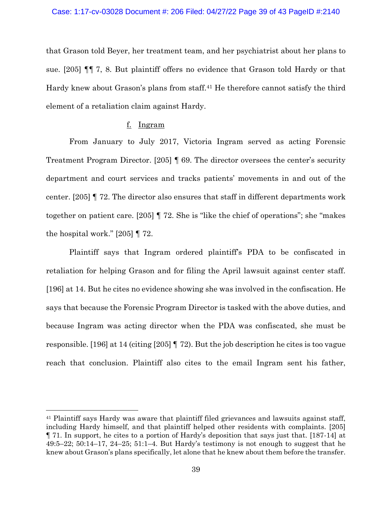that Grason told Beyer, her treatment team, and her psychiatrist about her plans to sue. [205] ¶¶ 7, 8. But plaintiff offers no evidence that Grason told Hardy or that Hardy knew about Grason's plans from staff.<sup>41</sup> He therefore cannot satisfy the third element of a retaliation claim against Hardy.

# f. Ingram

From January to July 2017, Victoria Ingram served as acting Forensic Treatment Program Director. [205] ¶ 69. The director oversees the center's security department and court services and tracks patients' movements in and out of the center. [205] ¶ 72. The director also ensures that staff in different departments work together on patient care. [205] ¶ 72. She is "like the chief of operations"; she "makes the hospital work." [205] ¶ 72.

Plaintiff says that Ingram ordered plaintiff's PDA to be confiscated in retaliation for helping Grason and for filing the April lawsuit against center staff. [196] at 14. But he cites no evidence showing she was involved in the confiscation. He says that because the Forensic Program Director is tasked with the above duties, and because Ingram was acting director when the PDA was confiscated, she must be responsible. [196] at 14 (citing [205] ¶ 72). But the job description he cites is too vague reach that conclusion. Plaintiff also cites to the email Ingram sent his father,

<sup>41</sup> Plaintiff says Hardy was aware that plaintiff filed grievances and lawsuits against staff, including Hardy himself, and that plaintiff helped other residents with complaints. [205] ¶ 71. In support, he cites to a portion of Hardy's deposition that says just that. [187-14] at  $49:5-22$ ;  $50:14-17$ ,  $24-25$ ;  $51:1-4$ . But Hardy's testimony is not enough to suggest that he knew about Grason's plans specifically, let alone that he knew about them before the transfer.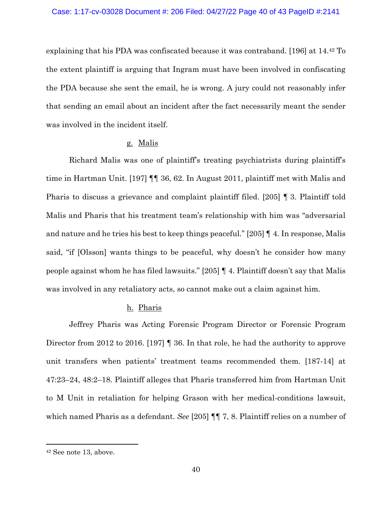explaining that his PDA was confiscated because it was contraband. [196] at 14.<sup>42</sup> To the extent plaintiff is arguing that Ingram must have been involved in confiscating the PDA because she sent the email, he is wrong. A jury could not reasonably infer that sending an email about an incident after the fact necessarily meant the sender was involved in the incident itself.

#### g. Malis

Richard Malis was one of plaintiff's treating psychiatrists during plaintiff's time in Hartman Unit. [197] ¶¶ 36, 62. In August 2011, plaintiff met with Malis and Pharis to discuss a grievance and complaint plaintiff filed. [205] ¶ 3. Plaintiff told Malis and Pharis that his treatment team's relationship with him was "adversarial and nature and he tries his best to keep things peaceful." [205] ¶ 4. In response, Malis said, "if [Olsson] wants things to be peaceful, why doesn't he consider how many people against whom he has filed lawsuits." [205] ¶ 4. Plaintiff doesn't say that Malis was involved in any retaliatory acts, so cannot make out a claim against him.

## h. Pharis

Jeffrey Pharis was Acting Forensic Program Director or Forensic Program Director from 2012 to 2016. [197] **[** 36. In that role, he had the authority to approve unit transfers when patients' treatment teams recommended them. [187-14] at 47:23–24, 48:2–18. Plaintiff alleges that Pharis transferred him from Hartman Unit to M Unit in retaliation for helping Grason with her medical-conditions lawsuit, which named Pharis as a defendant. *See* [205] ¶¶ 7, 8. Plaintiff relies on a number of

<sup>42</sup> See note [13,](#page-11-0) above.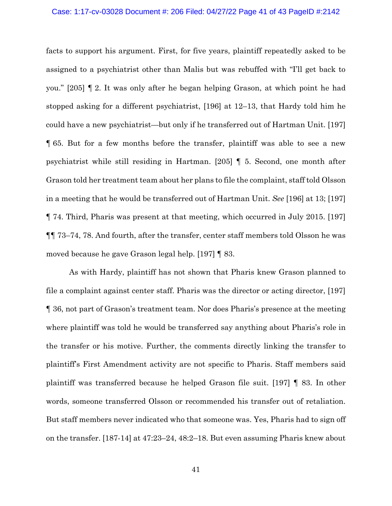#### Case: 1:17-cv-03028 Document #: 206 Filed: 04/27/22 Page 41 of 43 PageID #:2142

facts to support his argument. First, for five years, plaintiff repeatedly asked to be assigned to a psychiatrist other than Malis but was rebuffed with "I'll get back to you." [205] ¶ 2. It was only after he began helping Grason, at which point he had stopped asking for a different psychiatrist, [196] at 12–13, that Hardy told him he could have a new psychiatrist—but only if he transferred out of Hartman Unit. [197] ¶ 65. But for a few months before the transfer, plaintiff was able to see a new psychiatrist while still residing in Hartman. [205] ¶ 5. Second, one month after Grason told her treatment team about her plans to file the complaint, staff told Olsson in a meeting that he would be transferred out of Hartman Unit. *See* [196] at 13; [197] ¶ 74. Third, Pharis was present at that meeting, which occurred in July 2015. [197] ¶¶ 73–74, 78. And fourth, after the transfer, center staff members told Olsson he was moved because he gave Grason legal help. [197] ¶ 83.

As with Hardy, plaintiff has not shown that Pharis knew Grason planned to file a complaint against center staff. Pharis was the director or acting director, [197] ¶ 36, not part of Grason's treatment team. Nor does Pharis's presence at the meeting where plaintiff was told he would be transferred say anything about Pharis's role in the transfer or his motive. Further, the comments directly linking the transfer to plaintiff's First Amendment activity are not specific to Pharis. Staff members said plaintiff was transferred because he helped Grason file suit. [197] ¶ 83. In other words, someone transferred Olsson or recommended his transfer out of retaliation. But staff members never indicated who that someone was. Yes, Pharis had to sign off on the transfer. [187-14] at 47:23–24, 48:2–18. But even assuming Pharis knew about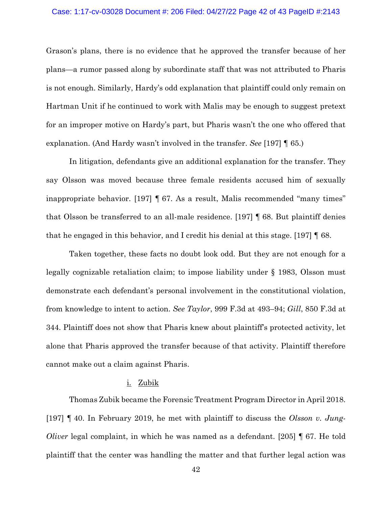#### Case: 1:17-cv-03028 Document #: 206 Filed: 04/27/22 Page 42 of 43 PageID #:2143

Grason's plans, there is no evidence that he approved the transfer because of her plans—a rumor passed along by subordinate staff that was not attributed to Pharis is not enough. Similarly, Hardy's odd explanation that plaintiff could only remain on Hartman Unit if he continued to work with Malis may be enough to suggest pretext for an improper motive on Hardy's part, but Pharis wasn't the one who offered that explanation. (And Hardy wasn't involved in the transfer. *See* [197] ¶ 65.)

In litigation, defendants give an additional explanation for the transfer. They say Olsson was moved because three female residents accused him of sexually inappropriate behavior. [197] ¶ 67. As a result, Malis recommended "many times" that Olsson be transferred to an all-male residence. [197] ¶ 68. But plaintiff denies that he engaged in this behavior, and I credit his denial at this stage. [197] ¶ 68.

Taken together, these facts no doubt look odd. But they are not enough for a legally cognizable retaliation claim; to impose liability under § 1983, Olsson must demonstrate each defendant's personal involvement in the constitutional violation, from knowledge to intent to action. *See Taylor*, 999 F.3d at 493–94; *Gill*, 850 F.3d at 344. Plaintiff does not show that Pharis knew about plaintiff's protected activity, let alone that Pharis approved the transfer because of that activity. Plaintiff therefore cannot make out a claim against Pharis.

#### i. Zubik

Thomas Zubik became the Forensic Treatment Program Director in April 2018. [197] ¶ 40. In February 2019, he met with plaintiff to discuss the *Olsson v. Jung-Oliver* legal complaint, in which he was named as a defendant. [205] ¶ 67. He told plaintiff that the center was handling the matter and that further legal action was